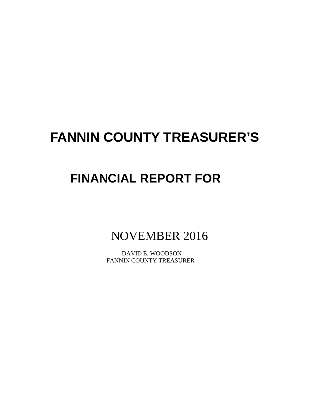# **FANNIN COUNTY TREASURER'S**

# **FINANCIAL REPORT FOR**

NOVEMBER 2016

 DAVID E. WOODSON FANNIN COUNTY TREASURER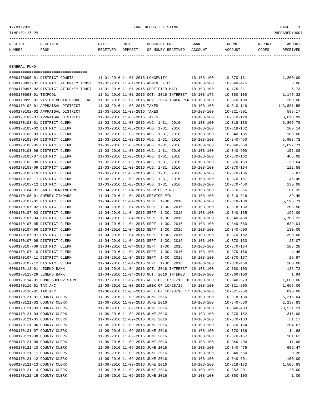12/01/2016 FUND DEPOSIT LISTING PAGE 1

| RECEIPT | <b>RECEIVED</b> | DATE            | DATE    | DESCRIPTION       | <b>BANK</b> | <b>TNCOME</b> | REPORT | AMOUNT          |
|---------|-----------------|-----------------|---------|-------------------|-------------|---------------|--------|-----------------|
| NUMBER  | FROM            | <b>RECEIVED</b> | DEPOSIT | OF MONEY RECEIVED | ACCOUNT     | ACCOUNT       | CODES  | <b>RECEIVED</b> |
|         |                 |                 |         |                   |             |               |        |                 |

GENERAL FUND

| ====================================   |                                                      |                  |                  |            |
|----------------------------------------|------------------------------------------------------|------------------|------------------|------------|
| 0000170095-01 DISTRICT COURTS-         | 11-01-2016 11-01-2016 LONGEVITY                      | $10 - 103 - 100$ | $10 - 370 - 151$ | 1,200.00   |
| 0000170097-01 DISTRICT ATTORNEY TRUST  | 11-01-2016 11-01-2016 ADMIN. FEES                    | $10 - 103 - 100$ | $10 - 340 - 475$ | 8.06       |
| 0000170097-02 DISTRICT ATTORNEY TRUST  | 11-01-2016 11-01-2016 CERTIFIED MAIL                 | $10 - 103 - 100$ | $10 - 475 - 311$ | 6.73       |
| 0000170098-01 TEXPOOL                  | 11-01-2016 11-01-2016 OCT. 2016 INTEREST             | 10-103-175       | $10 - 360 - 100$ | 1,147.32   |
| 0000170099-01 VISION MEDIA GROUP, INC. | 11-02-2016 11-02-2016 NOV, 2016 TOWER REN 10-103-100 |                  | $10 - 370 - 100$ | 200.00     |
| 0000170102-01 APPRAISAL DISTRICT       | 11-03-2016 11-03-2016 TAXES                          | $10 - 103 - 100$ | $10 - 310 - 110$ | 143,881.56 |
| 0000170102-02 APPRAISAL DISTRICT       | 11-03-2016 11-03-2016 TAXES                          | $10 - 103 - 100$ | $10 - 321 - 901$ | 588.17     |
| 0000170102-07 APPRAISAL DISTRICT       | 11-03-2016 11-03-2016 TAXES                          | $10 - 103 - 100$ | $10 - 310 - 120$ | 3,693.99   |
| 0000170103-01 DISTRICT CLERK           | 11-03-2016 11-03-2016 AUG. 1-31, 2016                | $10 - 103 - 100$ | $10 - 318 - 130$ | 6,867.79   |
| 0000170103-02 DISTRICT CLERK           | 11-03-2016 11-03-2016 AUG. 1-31, 2016                | $10 - 103 - 100$ | $10 - 318 - 132$ | 100.14     |
| 0000170103-03 DISTRICT CLERK           | 11-03-2016 11-03-2016 AUG. 1-31, 2016                | $10 - 103 - 100$ | $10 - 340 - 135$ | 180.00     |
| 0000170103-04 DISTRICT CLERK           | 11-03-2016 11-03-2016 AUG. 1-31, 2016                | $10 - 103 - 100$ | $10 - 340 - 450$ | 5,903.72   |
| 0000170103-05 DISTRICT CLERK           | 11-03-2016 11-03-2016 AUG. 1-31, 2016                | $10 - 103 - 100$ | $10 - 340 - 560$ | 1,097.71   |
| 0000170103-06 DISTRICT CLERK           | 11-03-2016 11-03-2016 AUG. 1-31, 2016                | $10 - 103 - 100$ | $10 - 340 - 600$ | 155.00     |
| 0000170103-07 DISTRICT CLERK           | 11-03-2016 11-03-2016 AUG. 1-31, 2016                | $10 - 103 - 100$ | $10 - 370 - 162$ | 465.00     |
| 0000170103-08 DISTRICT CLERK           | 11-03-2016 11-03-2016 AUG. 1-31, 2016                | $10 - 103 - 100$ | $10 - 370 - 163$ | 30.64      |
| 0000170103-09 DISTRICT CLERK           | 11-03-2016 11-03-2016 AUG. 1-31, 2016                | $10 - 103 - 100$ | $10 - 370 - 164$ | 122.58     |
| 0000170103-10 DISTRICT CLERK           | 11-03-2016 11-03-2016 AUG. 1-31, 2016                | $10 - 103 - 100$ | $10 - 370 - 166$ | 6.87       |
| 0000170103-11 DISTRICT CLERK           | 11-03-2016 11-03-2016 AUG. 1-31, 2016                | $10 - 103 - 100$ | $10 - 370 - 167$ | 45.49      |
| 0000170103-12 DISTRICT CLERK           | 11-03-2016 11-03-2016 AUG. 1-31, 2016                | $10 - 103 - 100$ | $10 - 370 - 450$ | 130.00     |
| 0000170104-01 JANIE HERRINGTON         | 11-04-2016 11-04-2016 SERVICE PINS                   | $10 - 103 - 100$ | $10 - 510 - 316$ | 61.35      |
| 0000170105-01 SHERRY ZINDARS           | 11-04-2016 11-04-2016 SERVICE PIN                    | $10 - 103 - 100$ | $10 - 510 - 316$ | 39.40      |
| 0000170107-01 DISTRICT CLERK           | 11-04-2016 11-04-2016 SEPT. 1-30, 2016               | $10 - 103 - 100$ | $10 - 318 - 130$ | 5,595.71   |
| 0000170107-02 DISTRICT CLERK           | 11-04-2016 11-04-2016 SEPT. 1-30, 2016               | $10 - 103 - 100$ | $10 - 318 - 132$ | 208.50     |
| 0000170107-03 DISTRICT CLERK           | 11-04-2016 11-04-2016 SEPT. 1-30, 2016               | $10 - 103 - 100$ | $10 - 340 - 135$ | 195.00     |
| 0000170107-04 DISTRICT CLERK           | 11-04-2016 11-04-2016 SEPT. 1-30, 2016               | $10 - 103 - 100$ | $10 - 340 - 450$ | 5,768.23   |
| 0000170107-05 DISTRICT CLERK           | 11-04-2016 11-04-2016 SEPT. 1-30, 2016               | $10 - 103 - 100$ | $10 - 340 - 560$ | 639.04     |
| 0000170107-06 DISTRICT CLERK           | 11-04-2016 11-04-2016 SEPT. 1-30, 2016               | $10 - 103 - 100$ | $10 - 340 - 600$ | 130.00     |
| 0000170107-07 DISTRICT CLERK           | 11-04-2016 11-04-2016 SEPT. 1-30, 2016               | $10 - 103 - 100$ | $10 - 370 - 162$ | 390.00     |
| 0000170107-08 DISTRICT CLERK           | 11-04-2016 11-04-2016 SEPT. 1-30, 2016               | $10 - 103 - 100$ | $10 - 370 - 163$ | 27.07      |
| 0000170107-09 DISTRICT CLERK           | 11-04-2016 11-04-2016 SEPT. 1-30, 2016               | $10 - 103 - 100$ | $10 - 370 - 164$ | 108.28     |
| 0000170107-10 DISTRICT CLERK           | 11-04-2016 11-04-2016 SEPT. 1-30, 2016               | $10 - 103 - 100$ | $10 - 370 - 166$ | 4.46       |
| 0000170107-11 DISTRICT CLERK           | 11-04-2016 11-04-2016 SEPT. 1-30, 2016               | $10 - 103 - 100$ | $10 - 370 - 167$ | 29.97      |
| 0000170107-12 DISTRICT CLERK           | 11-04-2016 11-04-2016 SEPT. 1-30, 2016               | $10 - 103 - 100$ | $10 - 370 - 450$ | 100.00     |
| 0000170113-01 LEGEND BANK              | 11-04-2016 11-04-2016 OCT. 2016 INTEREST             | 10-103-100       | $10 - 360 - 100$ | 136.72     |
| 0000170113-29 LEGEND BANK              | 11-04-2016 11-04-2016 OCT. 2016 INTEREST             | $10 - 100 - 100$ | $10 - 360 - 100$ | 1.94       |
| 0000170114-01 BOND SUPERVISION         | 11-07-2016 11-07-2016 WEEK OF 10/31/16 TH 10-103-100 |                  | $10 - 340 - 573$ | 1,680.00   |
| 0000170115-01 TAX A/C                  | 11-08-2016 11-08-2016 WEEK OF 10/28/16               | $10 - 103 - 100$ | $10 - 321 - 200$ | 1,665.00   |
| 0000170116-01 TAX A/C                  | 11-08-2016 11-08-2016 WEEK OF 10/28/16 17 10-103-100 |                  | $10 - 321 - 250$ | 890.00     |
| 0000170121-01 COUNTY CLERK             | 11-09-2016 11-09-2016 JUNE 2016                      | $10 - 103 - 100$ | $10 - 318 - 130$ | 6,215.04   |
| 0000170121-02 COUNTY CLERK             | 11-09-2016 11-09-2016 JUNE 2016                      | 10-103-100       | $10 - 340 - 560$ | 2,237.83   |
| 0000170121-03 COUNTY CLERK             | 11-09-2016 11-09-2016 JUNE 2016                      | $10 - 103 - 100$ | $10 - 340 - 403$ | 20,531.21  |
| 0000170121-04 COUNTY CLERK             | 11-09-2016 11-09-2016 JUNE 2016                      | $10 - 103 - 100$ | $10 - 370 - 162$ | 315.00     |
| 0000170121-05 COUNTY CLERK             | 11-09-2016 11-09-2016 JUNE 2016                      | $10 - 103 - 100$ | $10 - 370 - 163$ | 51.17      |
| 0000170121-06 COUNTY CLERK             | 11-09-2016 11-09-2016 JUNE 2016                      | $10 - 103 - 100$ | $10 - 370 - 164$ | 204.67     |
| 0000170121-07 COUNTY CLERK             | 11-09-2016 11-09-2016 JUNE 2016                      | $10 - 103 - 100$ | $10 - 370 - 166$ | 14.68      |
| 0000170121-08 COUNTY CLERK             | 11-09-2016 11-09-2016 JUNE 2016                      | $10 - 103 - 100$ | $10 - 370 - 167$ | 101.62     |
| 0000170121-09 COUNTY CLERK             | 11-09-2016 11-09-2016 JUNE 2016                      | $10 - 103 - 100$ | $10 - 340 - 400$ | 17.00      |
| 0000170121-10 COUNTY CLERK             | 11-09-2016 11-09-2016 JUNE 2016                      | $10 - 103 - 100$ | $10 - 340 - 475$ | 652.47     |
| 0000170121-11 COUNTY CLERK             | 11-09-2016 11-09-2016 JUNE 2016                      | $10 - 103 - 100$ | $10 - 340 - 550$ | 0.35       |
| 0000170121-12 COUNTY CLERK             | 11-09-2016 11-09-2016 JUNE 2016                      | $10 - 103 - 100$ | $10 - 340 - 601$ | 100.00     |
| 0000170121-13 COUNTY CLERK             | 11-09-2016 11-09-2016 JUNE 2016                      | $10 - 103 - 100$ | $10 - 318 - 132$ | 1,506.83   |
| 0000170121-14 COUNTY CLERK             | 11-09-2016 11-09-2016 JUNE 2016                      | $10 - 103 - 100$ | $10 - 352 - 201$ | 20.00      |
| 0000170121-15 COUNTY CLERK             | 11-09-2016 11-09-2016 JUNE 2016                      | $10 - 103 - 100$ | $10 - 360 - 100$ | 1.09       |
|                                        |                                                      |                  |                  |            |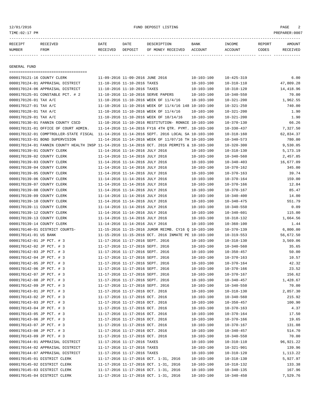## 12/01/2016 FUND DEPOSIT LISTING PAGE 2

| RECEIPT | RECEIVED | DATE     | DATE    | DESCRIPTION       | <b>BANK</b> | <b>TNCOME</b> | <b>REPORT</b> | AMOUNT          |
|---------|----------|----------|---------|-------------------|-------------|---------------|---------------|-----------------|
| NUMBER  | FROM     | RECEIVED | DEPOSIT | OF MONEY RECEIVED | ACCOUNT     | ACCOUNT       | CODES         | <b>RECEIVED</b> |
|         |          |          |         |                   |             |               |               |                 |

GENERAL FUND

| =====================================                                                        |                                  |                                  |                                                      |                  |                  |            |
|----------------------------------------------------------------------------------------------|----------------------------------|----------------------------------|------------------------------------------------------|------------------|------------------|------------|
| 0000170121-16 COUNTY CLERK                                                                   |                                  | 11-09-2016 11-09-2016 JUNE 2016  |                                                      | $10 - 103 - 100$ | $10 - 425 - 319$ | 6.00       |
| 0000170124-01 APPRAISAL DISTRICT                                                             | 11-10-2016 11-10-2016 TAXES      |                                  |                                                      | $10 - 103 - 100$ | $10 - 310 - 110$ | 47,809.28  |
| 0000170124-06 APPRAISAL DISTRICT                                                             |                                  | 11-10-2016 11-10-2016 TAXES      |                                                      | $10 - 103 - 100$ | $10 - 310 - 120$ | 14,418.96  |
| 0000170125-01 CONSTABLE PCT. # 2                                                             |                                  |                                  | 11-10-2016 11-10-2016 SERVE PAPERS                   | $10 - 103 - 100$ | $10 - 340 - 550$ | 70.00      |
| 0000170126-01 TAX A/C                                                                        |                                  |                                  | 11-10-2016 11-10-2016 WEEK OF 11/4/16                | $10 - 103 - 100$ | $10 - 321 - 200$ | 1,962.55   |
| 0000170127-01 TAX A/C                                                                        |                                  |                                  | 11-10-2016 11-10-2016 WEEK OF 11/4/16 148 10-103-100 |                  | $10 - 321 - 250$ | 740.00     |
| 0000170128-01 TAX A/C                                                                        |                                  |                                  | 11-10-2016 11-10-2016 WEEK OF 11/4/16                | $10 - 103 - 100$ | $10 - 321 - 200$ | 1.90       |
| 0000170129-01 TAX A/C                                                                        |                                  |                                  | 11-10-2016 11-10-2016 WEEK OF 10/14/16               | $10 - 103 - 100$ | $10 - 321 - 200$ | 1.90       |
| 0000170130-01 FANNIN COUNTY CSCD                                                             |                                  |                                  | 11-10-2016 11-10-2016 RESTITUTION- RONNIE 10-103-100 |                  | $10 - 370 - 130$ | 66.26      |
| 0000170131-01 OFFICE OF COURT ADMIN.                                                         |                                  |                                  | 11-14-2016 11-14-2016 FY16 4TH QTR. PYMT. 10-103-100 |                  | $10 - 330 - 437$ | 7,327.50   |
| 0000170132-01 COMPTROLLER-STATE FISCAL                                                       |                                  |                                  | 11-14-2016 11-14-2016 SEPT. 2016 LOCAL SA 10-103-100 |                  | $10 - 318 - 160$ | 62,834.37  |
| 0000170133-01 BOND SUPERVISION                                                               |                                  |                                  | 11-14-2016 11-14-2016 WEEK OF 11/07/16 TH 10-103-100 |                  | $10 - 340 - 573$ | 780.00     |
| 0000170134-01 FANNIN COUNTY HEALTH INSP 11-14-2016 11-14-2016 OCT. 2016 PERMITS & 10-103-100 |                                  |                                  |                                                      |                  | $10 - 320 - 300$ | 9,530.05   |
| 0000170139-01 COUNTY CLERK                                                                   |                                  | 11-14-2016 11-14-2016 JULY 2016  |                                                      | $10 - 103 - 100$ | $10 - 318 - 130$ | 5,173.19   |
| 0000170139-02 COUNTY CLERK                                                                   |                                  | 11-14-2016 11-14-2016 JULY 2016  |                                                      | $10 - 103 - 100$ | $10 - 340 - 560$ | 2,457.85   |
| 0000170139-03 COUNTY CLERK                                                                   |                                  | 11-14-2016 11-14-2016 JULY 2016  |                                                      | $10 - 103 - 100$ | $10 - 340 - 403$ | 16,677.09  |
| 0000170139-04 COUNTY CLERK                                                                   |                                  | 11-14-2016 11-14-2016 JULY 2016  |                                                      | $10 - 103 - 100$ | $10 - 370 - 162$ | 345.00     |
| 0000170139-05 COUNTY CLERK                                                                   |                                  | 11-14-2016 11-14-2016 JULY 2016  |                                                      | $10 - 103 - 100$ | $10 - 370 - 163$ | 39.74      |
| 0000170139-06 COUNTY CLERK                                                                   |                                  | 11-14-2016 11-14-2016 JULY 2016  |                                                      | $10 - 103 - 100$ | $10 - 370 - 164$ | 159.00     |
| 0000170139-07 COUNTY CLERK                                                                   |                                  | 11-14-2016 11-14-2016 JULY 2016  |                                                      | $10 - 103 - 100$ | $10 - 370 - 166$ | 12.84      |
| 0000170139-08 COUNTY CLERK                                                                   |                                  | 11-14-2016 11-14-2016 JULY 2016  |                                                      | $10 - 103 - 100$ | $10 - 370 - 167$ | 85.47      |
| 0000170139-09 COUNTY CLERK                                                                   |                                  | 11-14-2016 11-14-2016 JULY 2016  |                                                      | $10 - 103 - 100$ | $10 - 340 - 400$ | 14.00      |
| 0000170139-10 COUNTY CLERK                                                                   |                                  | 11-14-2016 11-14-2016 JULY 2016  |                                                      | $10 - 103 - 100$ | $10 - 340 - 475$ | 551.79     |
| 0000170139-11 COUNTY CLERK                                                                   |                                  | 11-14-2016 11-14-2016 JULY 2016  |                                                      | $10 - 103 - 100$ | $10 - 340 - 550$ | 0.09       |
| 0000170139-12 COUNTY CLERK                                                                   |                                  | 11-14-2016 11-14-2016 JULY 2016  |                                                      | $10 - 103 - 100$ | $10 - 340 - 601$ | 115.00     |
| 0000170139-13 COUNTY CLERK                                                                   |                                  | 11-14-2016 11-14-2016 JULY 2016  |                                                      | $10 - 103 - 100$ | $10 - 318 - 132$ | 1,664.56   |
| 0000170139-14 COUNTY CLERK                                                                   |                                  | 11-14-2016 11-14-2016 JULY 2016  |                                                      | $10 - 103 - 100$ | $10 - 360 - 100$ | 1.44       |
| 0000170140-01 DISTRICT COURTS-                                                               |                                  |                                  | 11-15-2016 11-15-2016 JUROR REIMB. CY16 Q 10-103-100 |                  | $10 - 370 - 139$ | 6,800.00   |
| 0000170141-01 US BANK                                                                        |                                  |                                  | 11-15-2016 11-15-2016 OCT. 2016 INMATE PE 10-103-100 |                  | $10 - 319 - 553$ | 56,672.50  |
| 0000170142-01 JP PCT. # 3                                                                    |                                  | 11-17-2016 11-17-2016 SEPT. 2016 |                                                      | $10 - 103 - 100$ | $10 - 318 - 130$ | 3,569.06   |
| 0000170142-02 JP PCT. # 3                                                                    |                                  |                                  | 11-17-2016 11-17-2016 SEPT. 2016                     | $10 - 103 - 100$ | $10 - 340 - 560$ | 35.65      |
| 0000170142-03 JP PCT. # 3                                                                    |                                  | 11-17-2016 11-17-2016 SEPT. 2016 |                                                      | $10 - 103 - 100$ | $10 - 350 - 457$ | 50.00      |
| 0000170142-04 JP PCT. # 3                                                                    |                                  |                                  | 11-17-2016 11-17-2016 SEPT. 2016                     | $10 - 103 - 100$ | $10 - 370 - 163$ | 10.57      |
| 0000170142-05 JP PCT. # 3                                                                    |                                  |                                  | 11-17-2016 11-17-2016 SEPT. 2016                     | $10 - 103 - 100$ | $10 - 370 - 164$ | 42.32      |
| 0000170142-06 JP PCT. # 3                                                                    | 11-17-2016 11-17-2016 SEPT. 2016 |                                  |                                                      | $10 - 103 - 100$ | $10 - 370 - 166$ | 23.52      |
| 0000170142-07 JP PCT. # 3                                                                    |                                  |                                  | 11-17-2016 11-17-2016 SEPT. 2016                     | $10 - 103 - 100$ | $10 - 370 - 167$ | 156.62     |
| 0000170142-08 JP PCT. # 3                                                                    | 11-17-2016 11-17-2016 SEPT. 2016 |                                  |                                                      | $10 - 103 - 100$ | $10 - 340 - 457$ | 1,428.67   |
| 0000170142-09 JP PCT. # 3                                                                    | 11-17-2016 11-17-2016 SEPT. 2016 |                                  |                                                      | $10 - 103 - 100$ | $10 - 340 - 550$ | 70.00      |
| 0000170143-01 JP PCT. # 3                                                                    | 11-17-2016 11-17-2016 OCT. 2016  |                                  |                                                      | $10 - 103 - 100$ | $10 - 318 - 130$ | 2,857.30   |
| 0000170143-02 JP PCT. # 3                                                                    |                                  | 11-17-2016 11-17-2016 OCT. 2016  |                                                      | $10 - 103 - 100$ | $10 - 340 - 560$ | 215.92     |
| 0000170143-03 JP PCT. # 3                                                                    |                                  | 11-17-2016 11-17-2016 OCT. 2016  |                                                      | $10 - 103 - 100$ | $10 - 350 - 457$ | 100.90     |
| 0000170143-04 JP PCT. # 3                                                                    |                                  | 11-17-2016 11-17-2016 OCT. 2016  |                                                      | $10 - 103 - 100$ | $10 - 370 - 163$ | 4.37       |
| 0000170143-05 JP PCT. # 3                                                                    |                                  | 11-17-2016 11-17-2016 OCT. 2016  |                                                      | $10 - 103 - 100$ | $10 - 370 - 164$ | 17.50      |
| 0000170143-06 JP PCT. # 3                                                                    |                                  | 11-17-2016 11-17-2016 OCT. 2016  |                                                      | $10 - 103 - 100$ | $10 - 370 - 166$ | 19.65      |
| 0000170143-07 JP PCT. # 3                                                                    |                                  | 11-17-2016 11-17-2016 OCT. 2016  |                                                      | $10 - 103 - 100$ | $10 - 370 - 167$ | 131.08     |
| 0000170143-08 JP PCT. # 3                                                                    |                                  | 11-17-2016 11-17-2016 OCT. 2016  |                                                      | $10 - 103 - 100$ | $10 - 340 - 457$ | 514.70     |
| 0000170143-09 JP PCT. # 3                                                                    |                                  | 11-17-2016 11-17-2016 OCT. 2016  |                                                      | $10 - 103 - 100$ | $10 - 340 - 550$ | 70.00      |
| 0000170144-01 APPRAISAL DISTRICT                                                             |                                  | 11-17-2016 11-17-2016 TAXES      |                                                      | $10 - 103 - 100$ | $10 - 310 - 110$ | 96, 921.22 |
| 0000170144-02 APPRAISAL DISTRICT                                                             |                                  | 11-17-2016 11-17-2016 TAXES      |                                                      | $10 - 103 - 100$ | $10 - 321 - 901$ | 139.96     |
| 0000170144-07 APPRAISAL DISTRICT                                                             |                                  | 11-17-2016 11-17-2016 TAXES      |                                                      | $10 - 103 - 100$ | $10 - 310 - 120$ | 1,113.22   |
| 0000170145-01 DISTRICT CLERK                                                                 |                                  |                                  | 11-17-2016 11-17-2016 OCT. 1-31, 2016                | $10 - 103 - 100$ | $10 - 318 - 130$ | 5,927.97   |
| 0000170145-02 DISTRICT CLERK                                                                 |                                  |                                  | 11-17-2016 11-17-2016 OCT. 1-31, 2016                | $10 - 103 - 100$ | $10 - 318 - 132$ | 133.38     |
| 0000170145-03 DISTRICT CLERK                                                                 |                                  |                                  | 11-17-2016 11-17-2016 OCT. 1-31, 2016                | $10 - 103 - 100$ | $10 - 340 - 135$ | 167.96     |
| 0000170145-04 DISTRICT CLERK                                                                 |                                  |                                  | 11-17-2016 11-17-2016 OCT. 1-31, 2016                | $10 - 103 - 100$ | $10 - 340 - 450$ | 7,529.76   |
|                                                                                              |                                  |                                  |                                                      |                  |                  |            |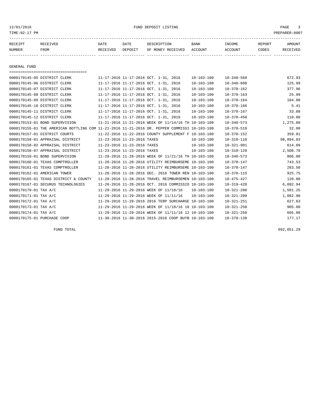| RECEIPT | RECEIVED | DATE     | DATE    | DESCRIPTION       | BANK    | INCOME  | REPORT | AMOUNT   |
|---------|----------|----------|---------|-------------------|---------|---------|--------|----------|
| NUMBER  | FROM     | RECEIVED | DEPOSIT | OF MONEY RECEIVED | ACCOUNT | ACCOUNT | CODES  | RECEIVED |
|         |          |          |         |                   |         |         |        |          |
|         |          |          |         |                   |         |         |        |          |

GENERAL FUND

| =====================================                                                        |                             |                                                      |                  |                  |           |
|----------------------------------------------------------------------------------------------|-----------------------------|------------------------------------------------------|------------------|------------------|-----------|
| 0000170145-05 DISTRICT CLERK                                                                 |                             | 11-17-2016 11-17-2016 OCT. 1-31, 2016                | $10 - 103 - 100$ | $10 - 340 - 560$ | 672.93    |
| 0000170145-06 DISTRICT CLERK                                                                 |                             | 11-17-2016 11-17-2016 OCT. 1-31, 2016                | $10 - 103 - 100$ | $10 - 340 - 600$ | 125.99    |
| 0000170145-07 DISTRICT CLERK                                                                 |                             | 11-17-2016 11-17-2016 OCT. 1-31, 2016                | $10 - 103 - 100$ | $10 - 370 - 162$ | 377.96    |
| 0000170145-08 DISTRICT CLERK                                                                 |                             | 11-17-2016 11-17-2016 OCT. 1-31, 2016                | $10 - 103 - 100$ | $10 - 370 - 163$ | 25.99     |
| 0000170145-09 DISTRICT CLERK                                                                 |                             | 11-17-2016 11-17-2016 OCT. 1-31, 2016                | $10 - 103 - 100$ | $10 - 370 - 164$ | 104.00    |
| 0000170145-10 DISTRICT CLERK                                                                 |                             | 11-17-2016 11-17-2016 OCT. 1-31, 2016                | $10 - 103 - 100$ | $10 - 370 - 166$ | 5.41      |
| 0000170145-11 DISTRICT CLERK                                                                 |                             | 11-17-2016 11-17-2016 OCT. 1-31, 2016                | $10 - 103 - 100$ | 10-370-167       | 33.88     |
| 0000170145-12 DISTRICT CLERK                                                                 |                             | 11-17-2016 11-17-2016 OCT. 1-31, 2016                | $10 - 103 - 100$ | $10 - 370 - 450$ | 110.00    |
| 0000170153-01 BOND SUPERVISION                                                               |                             | 11-21-2016 11-21-2016 WEEK OF 11/14/16 TH 10-103-100 |                  | $10 - 340 - 573$ | 1,275.00  |
| 0000170155-01 THE AMERICAN BOTTLING COM 11-21-2016 11-21-2016 DR. PEPPER COMMISSI 10-103-100 |                             |                                                      |                  | $10 - 370 - 510$ | 32.00     |
| 0000170157-01 DISTRICT COURTS                                                                |                             | 11-22-2016 11-22-2016 COUNTY SUPPLEMENT F 10-103-100 |                  | $10 - 370 - 152$ | 359.81    |
| 0000170158-01 APPRAISAL DISTRICT                                                             | 11-23-2016 11-23-2016 TAXES |                                                      | $10 - 103 - 100$ | $10 - 310 - 110$ | 98,894.03 |
| 0000170158-02 APPRAISAL DISTRICT                                                             | 11-23-2016 11-23-2016 TAXES |                                                      | $10 - 103 - 100$ | $10 - 321 - 901$ | 614.89    |
| 0000170158-07 APPRAISAL DISTRICT                                                             | 11-23-2016 11-23-2016 TAXES |                                                      | $10 - 103 - 100$ | $10 - 310 - 120$ | 2,508.70  |
| 0000170159-01 BOND SUPERVISION                                                               |                             | 11-28-2016 11-28-2016 WEEK OF 11/21/16 TH 10-103-100 |                  | $10 - 340 - 573$ | 806.00    |
| 0000170160-01 TEXAS COMPTROLLER                                                              |                             | 11-28-2016 11-28-2016 UTILITY REIMBURSEME 10-103-100 |                  | $10 - 370 - 147$ | 743.53    |
| 0000170161-01 TEXAS COMPTROLLER                                                              |                             | 11-28-2016 11-28-2016 UTILITY REIMBURSEME 10-103-100 |                  | $10 - 370 - 147$ | 283.50    |
| 0000170162-01 AMERICAN TOWER                                                                 |                             | 11-28-2016 11-28-2016 DEC. 2016 TOWER REN 10-103-100 |                  | $10 - 370 - 115$ | 925.75    |
| 0000170165-01 TEXAS DISTRICT & COUNTY                                                        |                             | 11-28-2016 11-28-2016 TRAVEL REIMBURSEMEN 10-103-100 |                  | $10 - 475 - 427$ | 120.00    |
| 0000170167-01 SECURUS TECHNOLOGIES                                                           |                             | 11-28-2016 11-28-2016 OCT. 2016 COMMISSIO 10-103-100 |                  | $10 - 319 - 420$ | 6,092.94  |
| 0000170170-01 TAX A/C                                                                        |                             | 11-29-2016 11-29-2016 WEEK OF 11/18/16               | $10 - 103 - 100$ | $10 - 321 - 200$ | 1,501.25  |
| 0000170171-01 TAX A/C                                                                        |                             | 11-29-2016 11-29-2016 WEEK OF 11/11/16               | $10 - 103 - 100$ | $10 - 321 - 200$ | 1,082.90  |
| 0000170172-01 TAX A/C                                                                        |                             | 11-29-2016 11-29-2016 2016 TERP SURCHARGE 10-103-100 |                  | $10 - 321 - 251$ | 627.63    |
| 0000170173-01 TAX A/C                                                                        |                             | 11-29-2016 11-29-2016 WEEK OF 11/18/16 18 10-103-100 |                  | $10 - 321 - 250$ | 905.00    |
| 0000170174-01 TAX A/C                                                                        |                             | 11-29-2016 11-29-2016 WEEK OF 11/11/16 12 10-103-100 |                  | $10 - 321 - 250$ | 605.00    |
| 0000170175-01 PURCHASE COOP                                                                  |                             | 11-30-2016 11-30-2016 2015-2016 COOP BUYB 10-103-100 |                  | $10 - 370 - 130$ | 177.17    |

FUND TOTAL 692,051.29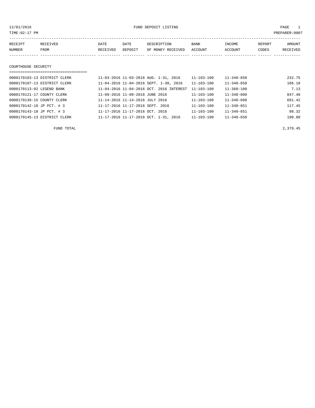| PREPARER: 0007<br>TIME: 02:17 PM |          |          |         |                   |         |         |        |          |
|----------------------------------|----------|----------|---------|-------------------|---------|---------|--------|----------|
| RECEIPT                          | RECEIVED | DATE     | DATE    | DESCRIPTION       | BANK    | INCOME  | REPORT | AMOUNT   |
| NUMBER                           | FROM     | RECEIVED | DEPOSIT | OF MONEY RECEIVED | ACCOUNT | ACCOUNT | CODES  | RECEIVED |
|                                  |          |          |         |                   |         |         |        |          |
| COURTHOUSE SECURITY              |          |          |         |                   |         |         |        |          |

## ===================================

| 0000170103-13 DISTRICT CLERK | 11-03-2016 11-03-2016 AUG. 1-31, 2016    | $11 - 103 - 100$ | $11 - 340 - 650$ | 232.75 |
|------------------------------|------------------------------------------|------------------|------------------|--------|
| 0000170107-13 DISTRICT CLERK | 11-04-2016 11-04-2016 SEPT. 1-30, 2016   | 11-103-100       | $11 - 340 - 650$ | 186.18 |
| 0000170113-02 LEGEND BANK    | 11-04-2016 11-04-2016 OCT. 2016 INTEREST | $11 - 103 - 100$ | $11 - 360 - 100$ | 7.13   |
| 0000170121-17 COUNTY CLERK   | 11-09-2016 11-09-2016 JUNE 2016          | $11 - 103 - 100$ | $11 - 340 - 600$ | 847.40 |
| 0000170139-15 COUNTY CLERK   | 11-14-2016 11-14-2016 JULY 2016          | $11 - 103 - 100$ | $11 - 340 - 600$ | 691.42 |
| 0000170142-10 JP PCT. # 3    | 11-17-2016 11-17-2016 SEPT. 2016         | $11 - 103 - 100$ | $11 - 340 - 651$ | 117.45 |
| 0000170143-10 JP PCT. # 3    | 11-17-2016 11-17-2016 OCT. 2016          | $11 - 103 - 100$ | $11 - 340 - 651$ | 98.32  |
| 0000170145-13 DISTRICT CLERK | 11-17-2016 11-17-2016 OCT. 1-31, 2016    | $11 - 103 - 100$ | $11 - 340 - 650$ | 198.80 |

FUND TOTAL 2,379.45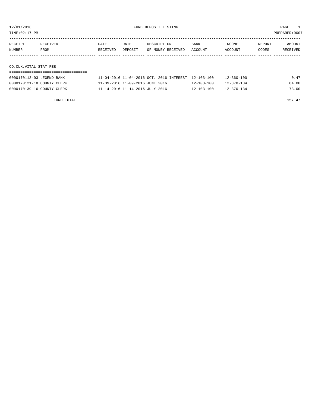TIME:02:17 PM PREPARER:0007

| RECEIPT | RECEIVED | DATE     | DATE    | DESCRIPTION       | <b>BANK</b> | INCOME  | REPORT | AMOUNT   |
|---------|----------|----------|---------|-------------------|-------------|---------|--------|----------|
| NUMBER  | FROM     | RECEIVED | DEPOSIT | OF MONEY RECEIVED | ACCOUNT     | ACCOUNT | CODES  | RECEIVED |
|         |          |          |         |                   |             |         |        |          |
|         |          |          |         |                   |             |         |        |          |

## CO.CLK.VITAL STAT.FEE

| 0000170113-03 LEGEND BANK  | 11-04-2016 11-04-2016 OCT, 2016 INTEREST 12-103-100 |                  | $12 - 360 - 100$ | 0.47  |
|----------------------------|-----------------------------------------------------|------------------|------------------|-------|
| 0000170121-18 COUNTY CLERK | 11-09-2016 11-09-2016 JUNE 2016                     | $12 - 103 - 100$ | $12 - 370 - 134$ | 84.00 |
| 0000170139-16 COUNTY CLERK | 11-14-2016 11-14-2016 JULY 2016                     | $12 - 103 - 100$ | $12 - 370 - 134$ | 73.00 |

FUND TOTAL 157.47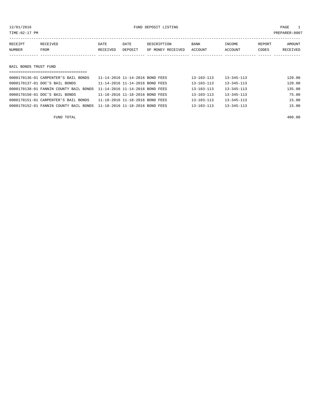## 12/01/2016 FUND DEPOSIT LISTING PAGE 1

| RECEIPT | RECEIVED | DATE     | DATE    | DESCRIPTION       | <b>BANK</b> | INCOME  | REPORT | AMOUNT   |
|---------|----------|----------|---------|-------------------|-------------|---------|--------|----------|
| NUMBER  | FROM     | RECEIVED | DEPOSIT | OF MONEY RECEIVED | ACCOUNT     | ACCOUNT | CODES  | RECEIVED |
|         |          |          |         |                   |             |         |        |          |
|         |          |          |         |                   |             |         |        |          |

## BAIL BONDS TRUST FUND

| ;============================          |                                 |                  |                  |        |
|----------------------------------------|---------------------------------|------------------|------------------|--------|
| 0000170136-01 CARPENTER'S BAIL BONDS   | 11-14-2016 11-14-2016 BOND FEES | $13 - 103 - 113$ | $13 - 345 - 113$ | 120.00 |
| 0000170137-01 DOC'S BAIL BONDS         | 11-14-2016 11-14-2016 BOND FEES | $13 - 103 - 113$ | $13 - 345 - 113$ | 120.00 |
| 0000170138-01 FANNIN COUNTY BAIL BONDS | 11-14-2016 11-14-2016 BOND FEES | $13 - 103 - 113$ | $13 - 345 - 113$ | 135.00 |
| 0000170150-01 DOC'S BAIL BONDS         | 11-18-2016 11-18-2016 BOND FEES | $13 - 103 - 113$ | $13 - 345 - 113$ | 75.00  |
| 0000170151-01 CARPENTER'S BAIL BONDS   | 11-18-2016 11-18-2016 BOND FEES | $13 - 103 - 113$ | $13 - 345 - 113$ | 15.00  |
| 0000170152-01 FANNIN COUNTY BAIL BONDS | 11-18-2016 11-18-2016 BOND FEES | $13 - 103 - 113$ | $13 - 345 - 113$ | 15.00  |
|                                        |                                 |                  |                  |        |

FUND TOTAL 480.00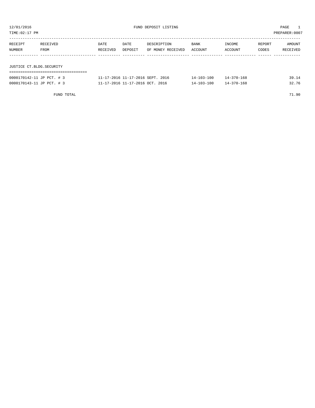| TIME:02:17 PM<br>PREPARER: 0007 |                  |                  |                 |                                  |                 |                   |                 |                    |
|---------------------------------|------------------|------------------|-----------------|----------------------------------|-----------------|-------------------|-----------------|--------------------|
| RECEIPT<br>NUMBER               | RECEIVED<br>FROM | DATE<br>RECEIVED | DATE<br>DEPOSIT | DESCRIPTION<br>OF MONEY RECEIVED | BANK<br>ACCOUNT | INCOME<br>ACCOUNT | REPORT<br>CODES | AMOUNT<br>RECEIVED |
| JUSTICE CT.BLDG.SECURITY        |                  |                  |                 |                                  |                 |                   |                 |                    |
|                                 |                  |                  |                 |                                  |                 |                   |                 |                    |
| 0000170142-11 JP PCT. # 3       |                  |                  |                 | 11-17-2016 11-17-2016 SEPT. 2016 | 14-103-100      | 14-370-168        |                 | 39.14              |

| 0000170143-11 JP PCT. # 3 | 11-17-2016 11-17-2016 OCT. 2016 | $14 - 103 - 100$<br>14-370-168 | 32.76 |
|---------------------------|---------------------------------|--------------------------------|-------|
|                           |                                 |                                |       |
| FUND TOTAL                |                                 |                                | 71.90 |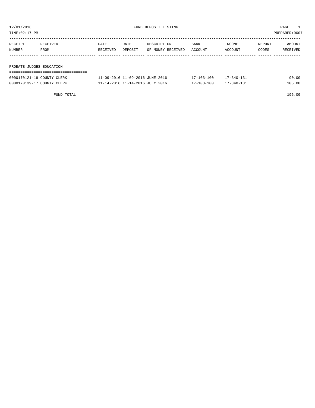| TIME: 02:17 PM<br>PREPARER: 0007 |                  |                  |                 |                                  |                 |                   |                 |                    |
|----------------------------------|------------------|------------------|-----------------|----------------------------------|-----------------|-------------------|-----------------|--------------------|
| RECEIPT<br>NUMBER                | RECEIVED<br>FROM | DATE<br>RECEIVED | DATE<br>DEPOSIT | DESCRIPTION<br>OF MONEY RECEIVED | BANK<br>ACCOUNT | INCOME<br>ACCOUNT | REPORT<br>CODES | AMOUNT<br>RECEIVED |
|                                  |                  |                  |                 |                                  |                 |                   |                 |                    |
| PROBATE JUDGES EDUCATION         |                  |                  |                 |                                  |                 |                   |                 |                    |

| 0000170121-19 COUNTY CLERK | 11-09-2016 11-09-2016 JUNE 2016 | $17 - 103 - 100$ | $17 - 340 - 131$ | 90.00  |
|----------------------------|---------------------------------|------------------|------------------|--------|
| 0000170139-17 COUNTY CLERK | 11-14-2016 11-14-2016 JULY 2016 | $17 - 103 - 100$ | $17 - 340 - 131$ | 105.00 |

FUND TOTAL 195.00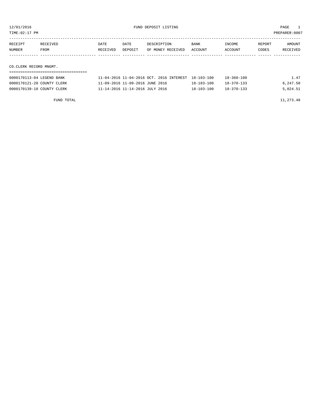TIME:02:17 PM PREPARER:0007

| RECEIPT                | RECEIVED | DATE     | DATE    | DESCRIPTION       | BANK    | INCOME  | REPORT | AMOUNT   |
|------------------------|----------|----------|---------|-------------------|---------|---------|--------|----------|
| NUMBER                 | FROM     | RECEIVED | DEPOSIT | OF MONEY RECEIVED | ACCOUNT | ACCOUNT | CODES  | RECEIVED |
|                        |          |          |         |                   |         |         |        |          |
|                        |          |          |         |                   |         |         |        |          |
| CO.CLERK RECORD MNGMT. |          |          |         |                   |         |         |        |          |
|                        |          |          |         |                   |         |         |        |          |

| 0000170113-04 LEGEND BANK  | 11-04-2016 11-04-2016 OCT, 2016 INTEREST 18-103-100 |                  | $18 - 360 - 100$ | 1.47     |
|----------------------------|-----------------------------------------------------|------------------|------------------|----------|
| 0000170121-20 COUNTY CLERK | 11-09-2016 11-09-2016 JUNE 2016                     | $18 - 103 - 100$ | $18 - 370 - 133$ | 6,247.50 |
| 0000170139-18 COUNTY CLERK | 11-14-2016 11-14-2016 JULY 2016                     | $18 - 103 - 100$ | $18 - 370 - 133$ | 5,024.51 |

FUND TOTAL  $11,273.48$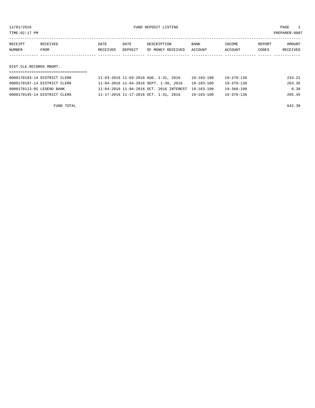TIME:02:17 PM PREPARER:0007

| RECEIPT | RECEIVED | DATE     | DATE    | DESCRIPTION       | <b>BANK</b> | INCOME  | REPORT | AMOUNT   |
|---------|----------|----------|---------|-------------------|-------------|---------|--------|----------|
| NUMBER  | FROM     | RECEIVED | DEPOSIT | OF MONEY RECEIVED | ACCOUNT     | ACCOUNT | CODES  | RECEIVED |
|         |          |          |         |                   |             |         |        |          |

DIST.CLK.RECORDS MNGMT.

| 0000170103-14 DISTRICT CLERK | 11-03-2016 11-03-2016 AUG. 1-31, 2016               | 19-103-100       | 19-370-136 | 233.21 |
|------------------------------|-----------------------------------------------------|------------------|------------|--------|
| 0000170107-14 DISTRICT CLERK | 11-04-2016 11-04-2016 SEPT. 1-30, 2016              | $19 - 103 - 100$ | 19-370-136 | 203.35 |
| 0000170113-05 LEGEND BANK    | 11-04-2016 11-04-2016 OCT. 2016 INTEREST 19-103-100 |                  | 19-360-100 | 0.38   |
| 0000170145-14 DISTRICT CLERK | 11-17-2016 11-17-2016 OCT. 1-31, 2016               | $19 - 103 - 100$ | 19-370-136 | 205.45 |

FUND TOTAL 642.39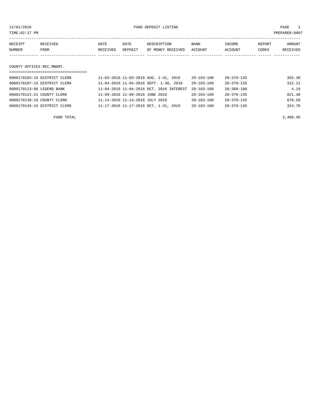12/01/2016 FUND DEPOSIT LISTING PAGE 1

| RECEIPT                                                                                                                                                                                                                         | RECEIVED | DATE     | DATE    | DESCRIPTION       | BANK    | INCOME  | REPORT | <b>AMOUNT</b> |
|---------------------------------------------------------------------------------------------------------------------------------------------------------------------------------------------------------------------------------|----------|----------|---------|-------------------|---------|---------|--------|---------------|
| NUMBER                                                                                                                                                                                                                          | FROM     | RECEIVED | DEPOSIT | OF MONEY RECEIVED | ACCOUNT | ACCOUNT | CODES  | RECEIVED      |
|                                                                                                                                                                                                                                 |          |          |         |                   |         |         |        |               |
|                                                                                                                                                                                                                                 |          |          |         |                   |         |         |        |               |
| $\sim$ . The contract of the contract of the contract of the contract of the contract of the contract of the contract of the contract of the contract of the contract of the contract of the contract of the contract of the co |          |          |         |                   |         |         |        |               |

COUNTY OFFICES REC.MNGMT.

| =============================== |                                             |                  |                  |        |
|---------------------------------|---------------------------------------------|------------------|------------------|--------|
| 0000170103-15 DISTRICT CLERK    | 11-03-2016 11-03-2016 AUG. 1-31, 2016       | 20-103-100       | $20 - 370 - 135$ | 355.38 |
| 0000170107-15 DISTRICT CLERK    | 11-04-2016 11-04-2016 SEPT. 1-30, 2016      | $20 - 103 - 100$ | $20 - 370 - 135$ | 312.11 |
| 0000170113-06 LEGEND BANK       | 11-04-2016 11-04-2016 OCT. 2016 INTEREST    | $20 - 103 - 100$ | $20 - 360 - 100$ | 4.19   |
| 0000170121-21 COUNTY CLERK      | 11-09-2016 11-09-2016 JUNE 2016             | $20 - 103 - 100$ | $20 - 370 - 135$ | 821.48 |
| 0000170139-19 COUNTY CLERK      | $11 - 14 - 2016$ $11 - 14 - 2016$ JULY 2016 | $20 - 103 - 100$ | $20 - 370 - 135$ | 670.59 |
| 0000170145-15 DISTRICT CLERK    | 11-17-2016 11-17-2016 OCT. 1-31, 2016       | $20 - 103 - 100$ | $20 - 370 - 135$ | 324.70 |
|                                 |                                             |                  |                  |        |

FUND TOTAL 2,488.45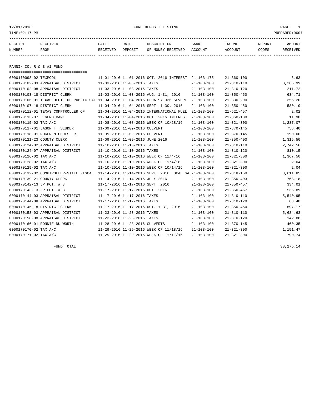#### 12/01/2016 FUND DEPOSIT LISTING PAGE 1

| RECEIPT | RECEIVED | DATE     | DATE    | DESCRIPTION       | <b>BANK</b> | INCOME  | REPORT | AMOUNT          |
|---------|----------|----------|---------|-------------------|-------------|---------|--------|-----------------|
| NUMBER  | FROM     | RECEIVED | DEPOSIT | OF MONEY RECEIVED | ACCOUNT     | ACCOUNT | CODES  | <b>RECEIVED</b> |
|         |          |          |         |                   |             |         |        |                 |

FANNIN CO. R & B #1 FUND

| ====================================== |                                                                                             |                  |                  |          |
|----------------------------------------|---------------------------------------------------------------------------------------------|------------------|------------------|----------|
| 0000170098-02 TEXPOOL                  | 11-01-2016 11-01-2016 OCT. 2016 INTEREST 21-103-175                                         |                  | $21 - 360 - 100$ | 5.63     |
| 0000170102-03 APPRAISAL DISTRICT       | 11-03-2016 11-03-2016 TAXES                                                                 | $21 - 103 - 100$ | $21 - 310 - 110$ | 8,265.99 |
| 0000170102-08 APPRAISAL DISTRICT       | 11-03-2016 11-03-2016 TAXES                                                                 | $21 - 103 - 100$ | $21 - 310 - 120$ | 211.72   |
| 0000170103-18 DISTRICT CLERK           | 11-03-2016 11-03-2016 AUG. 1-31, 2016                                                       | $21 - 103 - 100$ | $21 - 350 - 450$ | 634.71   |
|                                        | 0000170106-01 TEXAS DEPT. OF PUBLIC SAF 11-04-2016 11-04-2016 CFDA:97.036 SEVERE            | $21 - 103 - 100$ | $21 - 330 - 200$ | 356.20   |
| 0000170107-18 DISTRICT CLERK           | 11-04-2016 11-04-2016 SEPT. 1-30, 2016                                                      | $21 - 103 - 100$ | $21 - 350 - 450$ | 580.19   |
| 0000170112-01 TEXAS COMPTROLLER OF     | 11-04-2016 11-04-2016 INTERNATIONAL FUEL                                                    | $21 - 103 - 100$ | $21 - 621 - 457$ | 2.02     |
| 0000170113-07 LEGEND BANK              | 11-04-2016 11-04-2016 OCT. 2016 INTEREST                                                    | $21 - 103 - 100$ | $21 - 360 - 100$ | 11.90    |
| 0000170115-02 TAX A/C                  | 11-08-2016 11-08-2016 WEEK OF 10/28/16                                                      | $21 - 103 - 100$ | $21 - 321 - 300$ | 1,237.07 |
| 0000170117-01 JASON T. SLUDER          | 11-09-2016 11-09-2016 CULVERT                                                               | $21 - 103 - 100$ | $21 - 370 - 145$ | 758.40   |
| 0000170118-01 ROGER NICHOLS JR.        | 11-09-2016 11-09-2016 CULVERT                                                               | $21 - 103 - 100$ | $21 - 370 - 145$ | 190.00   |
| 0000170121-23 COUNTY CLERK             | 11-09-2016 11-09-2016 JUNE 2016                                                             | $21 - 103 - 100$ | $21 - 350 - 403$ | 1,315.50 |
| 0000170124-02 APPRAISAL DISTRICT       | 11-10-2016 11-10-2016 TAXES                                                                 | $21 - 103 - 100$ | $21 - 310 - 110$ | 2,742.56 |
| 0000170124-07 APPRAISAL DISTRICT       | 11-10-2016 11-10-2016 TAXES                                                                 | $21 - 103 - 100$ | $21 - 310 - 120$ | 810.15   |
| 0000170126-02 TAX A/C                  | 11-10-2016 11-10-2016 WEEK OF 11/4/16                                                       | $21 - 103 - 100$ | $21 - 321 - 300$ | 1,367.50 |
| 0000170128-02 TAX A/C                  | 11-10-2016 11-10-2016 WEEK OF 11/4/16                                                       | $21 - 103 - 100$ | $21 - 321 - 300$ | 2.04     |
| 0000170129-02 TAX A/C                  | 11-10-2016 11-10-2016 WEEK OF 10/14/16                                                      | $21 - 103 - 100$ | $21 - 321 - 300$ | 2.04     |
|                                        | 0000170132-02 COMPTROLLER-STATE FISCAL 11-14-2016 11-14-2016 SEPT. 2016 LOCAL SA 21-103-100 |                  | $21 - 318 - 160$ | 3,611.85 |
| 0000170139-21 COUNTY CLERK             | 11-14-2016 11-14-2016 JULY 2016                                                             | $21 - 103 - 100$ | $21 - 350 - 403$ | 768.18   |
| 0000170142-13 JP PCT. # 3              | 11-17-2016 11-17-2016 SEPT. 2016                                                            | $21 - 103 - 100$ | $21 - 350 - 457$ | 334.01   |
| 0000170143-13 JP PCT. # 3              | 11-17-2016 11-17-2016 OCT. 2016                                                             | $21 - 103 - 100$ | $21 - 350 - 457$ | 536.89   |
| 0000170144-03 APPRAISAL DISTRICT       | 11-17-2016 11-17-2016 TAXES                                                                 | $21 - 103 - 100$ | $21 - 310 - 110$ | 5,540.95 |
| 0000170144-08 APPRAISAL DISTRICT       | 11-17-2016 11-17-2016 TAXES                                                                 | $21 - 103 - 100$ | $21 - 310 - 120$ | 63.40    |
| 0000170145-18 DISTRICT CLERK           | 11-17-2016 11-17-2016 OCT. 1-31, 2016                                                       | $21 - 103 - 100$ | $21 - 350 - 450$ | 697.17   |
| 0000170158-03 APPRAISAL DISTRICT       | 11-23-2016 11-23-2016 TAXES                                                                 | $21 - 103 - 100$ | $21 - 310 - 110$ | 5,684.63 |
| 0000170158-08 APPRAISAL DISTRICT       | 11-23-2016 11-23-2016 TAXES                                                                 | $21 - 103 - 100$ | $21 - 310 - 120$ | 142.88   |
| 0000170166-01 RONNIE DULWORTH          | 11-28-2016 11-28-2016 CULVERTS                                                              | $21 - 103 - 100$ | $21 - 370 - 145$ | 460.35   |
| 0000170170-02 TAX A/C                  | 11-29-2016 11-29-2016 WEEK OF 11/18/16                                                      | $21 - 103 - 100$ | $21 - 321 - 300$ | 1,151.47 |
| 0000170171-02 TAX A/C                  | 11-29-2016 11-29-2016 WEEK OF 11/11/16                                                      | $21 - 103 - 100$ | $21 - 321 - 300$ | 790.74   |

FUND TOTAL  $38,276.14$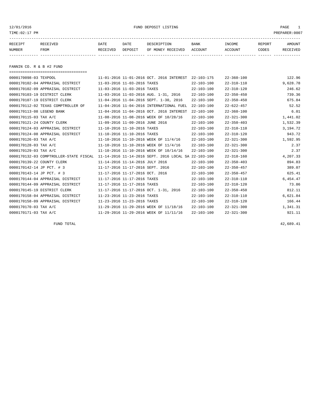12/01/2016 FUND DEPOSIT LISTING PAGE 1

| RECEIPT | <b>RECEIVED</b> | DATE     | DATE    | DESCRIPTION       | <b>BANK</b> | INCOME  | REPORT | AMOUNT          |
|---------|-----------------|----------|---------|-------------------|-------------|---------|--------|-----------------|
| NUMBER  | FROM            | RECEIVED | DEPOSIT | OF MONEY RECEIVED | ACCOUNT     | ACCOUNT | CODES  | <b>RECEIVED</b> |
|         |                 |          |         |                   |             |         |        |                 |

FANNIN CO. R & B #2 FUND

| ====================================   |                                                      |                  |                  |          |
|----------------------------------------|------------------------------------------------------|------------------|------------------|----------|
| 0000170098-03 TEXPOOL                  | 11-01-2016 11-01-2016 OCT. 2016 INTEREST             | 22-103-175       | $22 - 360 - 100$ | 122.96   |
| 0000170102-04 APPRAISAL DISTRICT       | 11-03-2016 11-03-2016 TAXES                          | $22 - 103 - 100$ | $22 - 310 - 110$ | 9,628.78 |
| 0000170102-09 APPRAISAL DISTRICT       | 11-03-2016 11-03-2016 TAXES                          | $22 - 103 - 100$ | $22 - 310 - 120$ | 246.62   |
| 0000170103-19 DISTRICT CLERK           | 11-03-2016 11-03-2016 AUG. 1-31, 2016                | $22 - 103 - 100$ | $22 - 350 - 450$ | 739.36   |
| 0000170107-19 DISTRICT CLERK           | 11-04-2016 11-04-2016 SEPT. 1-30, 2016               | $22 - 103 - 100$ | $22 - 350 - 450$ | 675.84   |
| 0000170112-02 TEXAS COMPTROLLER OF     | 11-04-2016 11-04-2016 INTERNATIONAL FUEL             | $22 - 103 - 100$ | $22 - 622 - 457$ | 52.52    |
| 0000170113-08 LEGEND BANK              | 11-04-2016 11-04-2016 OCT. 2016 INTEREST             | $22 - 103 - 100$ | $22 - 360 - 100$ | 6.01     |
| 0000170115-03 TAX A/C                  | 11-08-2016 11-08-2016 WEEK OF 10/28/16               | $22 - 103 - 100$ | $22 - 321 - 300$ | 1,441.02 |
| 0000170121-24 COUNTY CLERK             | 11-09-2016 11-09-2016 JUNE 2016                      | $22 - 103 - 100$ | $22 - 350 - 403$ | 1,532.39 |
| 0000170124-03 APPRAISAL DISTRICT       | 11-10-2016 11-10-2016 TAXES                          | $22 - 103 - 100$ | $22 - 310 - 110$ | 3,194.72 |
| 0000170124-08 APPRAISAL DISTRICT       | 11-10-2016 11-10-2016 TAXES                          | $22 - 103 - 100$ | $22 - 310 - 120$ | 943.72   |
| 0000170126-03 TAX A/C                  | 11-10-2016 11-10-2016 WEEK OF 11/4/16                | $22 - 103 - 100$ | $22 - 321 - 300$ | 1,592.95 |
| 0000170128-03 TAX A/C                  | 11-10-2016 11-10-2016 WEEK OF 11/4/16                | $22 - 103 - 100$ | $22 - 321 - 300$ | 2.37     |
| 0000170129-03 TAX A/C                  | 11-10-2016 11-10-2016 WEEK OF 10/14/16               | $22 - 103 - 100$ | $22 - 321 - 300$ | 2.37     |
| 0000170132-03 COMPTROLLER-STATE FISCAL | 11-14-2016 11-14-2016 SEPT. 2016 LOCAL SA 22-103-100 |                  | $22 - 318 - 160$ | 4,207.33 |
| 0000170139-22 COUNTY CLERK             | 11-14-2016 11-14-2016 JULY 2016                      | $22 - 103 - 100$ | $22 - 350 - 403$ | 894.83   |
| 0000170142-14 JP PCT. # 3              | 11-17-2016 11-17-2016 SEPT. 2016                     | $22 - 103 - 100$ | $22 - 350 - 457$ | 389.07   |
| 0000170143-14 JP PCT. # 3              | 11-17-2016 11-17-2016 OCT. 2016                      | $22 - 103 - 100$ | $22 - 350 - 457$ | 625.41   |
| 0000170144-04 APPRAISAL DISTRICT       | 11-17-2016 11-17-2016 TAXES                          | $22 - 103 - 100$ | $22 - 310 - 110$ | 6,454.47 |
| 0000170144-09 APPRAISAL DISTRICT       | 11-17-2016 11-17-2016 TAXES                          | $22 - 103 - 100$ | $22 - 310 - 120$ | 73.86    |
| 0000170145-19 DISTRICT CLERK           | 11-17-2016 11-17-2016 OCT. 1-31, 2016                | $22 - 103 - 100$ | $22 - 350 - 450$ | 812.11   |
| 0000170158-04 APPRAISAL DISTRICT       | 11-23-2016 11-23-2016 TAXES                          | $22 - 103 - 100$ | $22 - 310 - 110$ | 6,621.84 |
| 0000170158-09 APPRAISAL DISTRICT       | 11-23-2016 11-23-2016 TAXES                          | $22 - 103 - 100$ | $22 - 310 - 120$ | 166.44   |
| 0000170170-03 TAX A/C                  | 11-29-2016 11-29-2016 WEEK OF 11/18/16               | $22 - 103 - 100$ | $22 - 321 - 300$ | 1,341.31 |
| 0000170171-03 TAX A/C                  | 11-29-2016 11-29-2016 WEEK OF 11/11/16               | $22 - 103 - 100$ | $22 - 321 - 300$ | 921.11   |

FUND TOTAL  $42,689.41$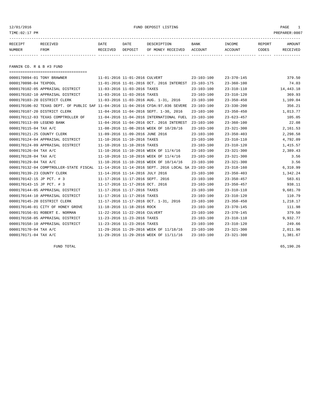12/01/2016 FUND DEPOSIT LISTING PAGE 1

| RECEIPT                 | RECEIVED | DATE     | DATE    | DESCRIPTION       | BANK    | INCOME  | REPORT | <b>AMOUNT</b> |
|-------------------------|----------|----------|---------|-------------------|---------|---------|--------|---------------|
| NUMBER                  | FROM     | RECEIVED | DEPOSIT | OF MONEY RECEIVED | ACCOUNT | ACCOUNT | CODES  | RECEIVED      |
|                         |          |          |         |                   |         |         |        |               |
| FANNIN CO R & R #3 FIND |          |          |         |                   |         |         |        |               |

=================================== 0000170094-01 TONY BRAWNER 11-01-2016 11-01-2016 CULVERT 23-103-100 23-370-145 379.50 0000170098-04 TEXPOOL 11-01-2016 11-01-2016 0CT. 2016 INTEREST 23-103-175 23-360-100 24.03 0000170102-05 APPRAISAL DISTRICT 11-03-2016 11-03-2016 TAXES 23-103-100 23-310-110 14,443.18 0000170102-10 APPRAISAL DISTRICT 11-03-2016 11-03-2016 TAXES 23-103-100 23-310-120 369.93 0000170103-20 DISTRICT CLERK 11-03-2016 11-03-2016 AUG. 1-31, 2016 23-103-100 23-350-450 1,109.04 0000170106-02 TEXAS DEPT. OF PUBLIC SAF 11-04-2016 11-04-2016 CFDA:97.036 SEVERE 23-103-100 23-330-200 356.21 0000170107-20 DISTRICT CLERK 11-04-2016 11-04-2016 SEPT. 1-30, 2016 23-103-100 23-350-450 1,013.77 0000170112-03 TEXAS COMPTROLLER OF 11-04-2016 11-04-2016 INTERNATIONAL FUEL 23-103-100 23-623-457 105.05 0000170113-09 LEGEND BANK 11-04-2016 11-04-2016 OCT. 2016 INTEREST 23-103-100 23-360-100 23-360-100 22.08 0000170115-04 TAX A/C 11-08-2016 11-08-2016 WEEK OF 10/28/16 23-103-100 23-321-300 2,161.53 0000170121-25 COUNTY CLERK 11-09-2016 11-09-2016 JUNE 2016 23-103-100 23-350-403 2,298.58 0000170124-04 APPRAISAL DISTRICT 11-10-2016 11-10-2016 TAXES 23-103-100 23-310-110 4,792.09 0000170124-09 APPRAISAL DISTRICT 11-10-2016 11-10-2016 TAXES 23-103-100 23-310-120 1,415.57 0000170126-04 TAX A/C 11-10-2016 11-10-2016 WEEK OF 11/4/16 23-103-100 23-321-300 2,389.43 0000170128-04 TAX A/C 11-10-2016 11-10-2016 WEEK OF 11/4/16 23-103-100 23-321-300 3.56 0000170129-04 TAX A/C 11-10-2016 11-10-2016 WEEK OF 10/14/16 23-103-100 23-321-300 23-56 0000170132-04 COMPTROLLER-STATE FISCAL 11-14-2016 11-14-2016 SEPT. 2016 LOCAL SA 23-103-100 23-318-160 6,310.99 0000170139-23 COUNTY CLERK 11-14-2016 11-14-2016 JULY 2016 23-103-100 23-350-403 1,342.24 0000170142-15 JP PCT. # 3 11-17-2016 11-17-2016 SEPT. 2016 23-103-100 23-350-457 583.61 0000170143-15 JP PCT. # 3 11-17-2016 11-17-2016 OCT. 2016 23-103-100 23-350-457 938.11 0000170144-05 APPRAISAL DISTRICT 11-17-2016 11-17-2016 TAXES 23-103-100 23-310-110 9,681.70 0000170144-10 APPRAISAL DISTRICT 11-17-2016 11-17-2016 TAXES 23-103-100 23-310-120 110.79 0000170145-20 DISTRICT CLERK 11-17-2016 11-17-2016 OCT. 1-31, 2016 23-103-100 23-350-450 1,218.17 0000170146-01 CITY OF HONEY GROVE 11-18-2016 11-18-2016 ROCK 23-103-100 23-370-145 111.98 0000170156-01 ROBERT E. NORMAN 11-22-2016 11-22-2016 CULVERT 23-103-100 23-370-145 379.50 0000170158-05 APPRAISAL DISTRICT 11-23-2016 11-23-2016 TAXES 23-103-100 23-310-110 9,932.77 0000170158-10 APPRAISAL DISTRICT 11-23-2016 11-23-2016 TAXES 23-103-100 23-310-120 249.66 0000170170-04 TAX A/C 11-29-2016 11-29-2016 WEEK OF 11/18/16 23-103-100 23-321-300 2,011.96 0000170171-04 TAX A/C 1,381.67 11-29-2016 11-29-2016 WEEK OF 11/11/16 23-103-100 23-321-300 1,381.67

 $FUND$  TOTAL 65,190.26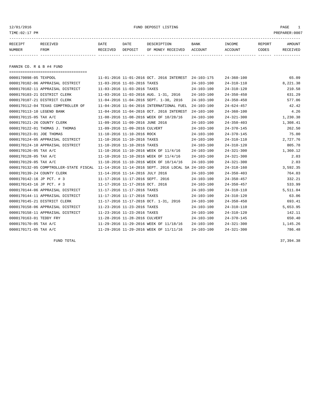12/01/2016 FUND DEPOSIT LISTING PAGE 1

| RECEIPT | RECEIVED | DATE     | DATE    | DESCRIPTION       | <b>BANK</b> | <b>INCOME</b> | REPORT       | <b>AMOUNT</b>   |
|---------|----------|----------|---------|-------------------|-------------|---------------|--------------|-----------------|
| NUMBER  | FROM     | RECEIVED | DEPOSIT | OF MONEY RECEIVED | ACCOUNT     | ACCOUNT       | <b>CODES</b> | <b>RECEIVED</b> |
|         |          |          |         |                   |             |               |              |                 |

FANNIN CO. R & B #4 FUND

| =====================================  |                                                      |                  |                  |          |
|----------------------------------------|------------------------------------------------------|------------------|------------------|----------|
| 0000170098-05 TEXPOOL                  | 11-01-2016 11-01-2016 OCT. 2016 INTEREST 24-103-175  |                  | $24 - 360 - 100$ | 65.09    |
| 0000170102-06 APPRAISAL DISTRICT       | 11-03-2016 11-03-2016 TAXES                          | $24 - 103 - 100$ | $24 - 310 - 110$ | 8,221.38 |
| 0000170102-11 APPRAISAL DISTRICT       | 11-03-2016 11-03-2016 TAXES                          | $24 - 103 - 100$ | $24 - 310 - 120$ | 210.58   |
| 0000170103-21 DISTRICT CLERK           | 11-03-2016 11-03-2016 AUG. 1-31, 2016                | $24 - 103 - 100$ | $24 - 350 - 450$ | 631.29   |
| 0000170107-21 DISTRICT CLERK           | 11-04-2016 11-04-2016 SEPT. 1-30, 2016               | $24 - 103 - 100$ | $24 - 350 - 450$ | 577.06   |
| 0000170112-04 TEXAS COMPTROLLER OF     | 11-04-2016 11-04-2016 INTERNATIONAL FUEL             | $24 - 103 - 100$ | $24 - 624 - 457$ | 42.42    |
| 0000170113-10 LEGEND BANK              | 11-04-2016 11-04-2016 OCT. 2016 INTEREST             | $24 - 103 - 100$ | $24 - 360 - 100$ | 4.26     |
| 0000170115-05 TAX A/C                  | 11-08-2016 11-08-2016 WEEK OF 10/28/16               | $24 - 103 - 100$ | $24 - 321 - 300$ | 1,230.38 |
| 0000170121-26 COUNTY CLERK             | 11-09-2016 11-09-2016 JUNE 2016                      | $24 - 103 - 100$ | $24 - 350 - 403$ | 1,308.41 |
| 0000170122-01 THOMAS J. THOMAS         | 11-09-2016 11-09-2016 CULVERT                        | $24 - 103 - 100$ | $24 - 370 - 145$ | 262.50   |
| 0000170123-01 JOE THOMAS               | 11-10-2016 11-10-2016 ROCK                           | $24 - 103 - 100$ | $24 - 370 - 145$ | 75.00    |
| 0000170124-05 APPRAISAL DISTRICT       | 11-10-2016 11-10-2016 TAXES                          | $24 - 103 - 100$ | $24 - 310 - 110$ | 2,727.76 |
| 0000170124-10 APPRAISAL DISTRICT       | 11-10-2016 11-10-2016 TAXES                          | $24 - 103 - 100$ | $24 - 310 - 120$ | 805.78   |
| 0000170126-05 TAX A/C                  | 11-10-2016 11-10-2016 WEEK OF 11/4/16                | $24 - 103 - 100$ | $24 - 321 - 300$ | 1,360.12 |
| 0000170128-05 TAX A/C                  | 11-10-2016 11-10-2016 WEEK OF 11/4/16                | $24 - 103 - 100$ | $24 - 321 - 300$ | 2.03     |
| 0000170129-05 TAX A/C                  | 11-10-2016 11-10-2016 WEEK OF 10/14/16               | $24 - 103 - 100$ | $24 - 321 - 300$ | 2.03     |
| 0000170132-05 COMPTROLLER-STATE FISCAL | 11-14-2016 11-14-2016 SEPT. 2016 LOCAL SA 24-103-100 |                  | $24 - 318 - 160$ | 3,592.35 |
| 0000170139-24 COUNTY CLERK             | 11-14-2016 11-14-2016 JULY 2016                      | $24 - 103 - 100$ | $24 - 350 - 403$ | 764.03   |
| 0000170142-16 JP PCT. # 3              | 11-17-2016 11-17-2016 SEPT. 2016                     | $24 - 103 - 100$ | $24 - 350 - 457$ | 332.21   |
| 0000170143-16 JP PCT. # 3              | 11-17-2016 11-17-2016 OCT. 2016                      | $24 - 103 - 100$ | $24 - 350 - 457$ | 533.99   |
| 0000170144-06 APPRAISAL DISTRICT       | 11-17-2016 11-17-2016 TAXES                          | $24 - 103 - 100$ | $24 - 310 - 110$ | 5,511.04 |
| 0000170144-11 APPRAISAL DISTRICT       | 11-17-2016 11-17-2016 TAXES                          | $24 - 103 - 100$ | $24 - 310 - 120$ | 63.06    |
| 0000170145-21 DISTRICT CLERK           | 11-17-2016 11-17-2016 OCT. 1-31, 2016                | $24 - 103 - 100$ | $24 - 350 - 450$ | 693.41   |
| 0000170158-06 APPRAISAL DISTRICT       | 11-23-2016 11-23-2016 TAXES                          | $24 - 103 - 100$ | $24 - 310 - 110$ | 5,653.95 |
| 0000170158-11 APPRAISAL DISTRICT       | 11-23-2016 11-23-2016 TAXES                          | $24 - 103 - 100$ | $24 - 310 - 120$ | 142.11   |
| 0000170163-01 TEDDY FRY                | 11-28-2016 11-28-2016 CULVERT                        | $24 - 103 - 100$ | $24 - 370 - 145$ | 650.40   |
| 0000170170-05 TAX A/C                  | 11-29-2016 11-29-2016 WEEK OF 11/18/16               | $24 - 103 - 100$ | $24 - 321 - 300$ | 1,145.26 |
| 0000170171-05 TAX A/C                  | 11-29-2016 11-29-2016 WEEK OF 11/11/16               | $24 - 103 - 100$ | $24 - 321 - 300$ | 786.48   |

FUND TOTAL 37,394.38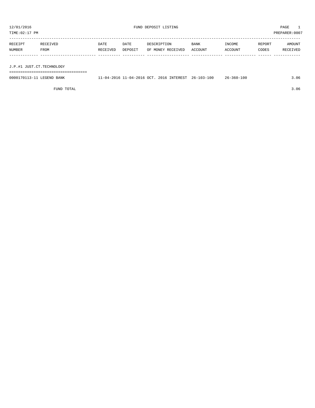TIME:02:17 PM PREPARER:0007 ----------------------------------------------------------------------------------------------------------------------------------- RECEIPT RECEIVED DATE DATE DESCRIPTION BANK INCOME REPORT AMOUNT NUMBER FROM RECEIVED DEPOSIT OF MONEY RECEIVED ACCOUNT ACCOUNT CODES RECEIVED ------------- ------------------------- ---------- ---------- ------------------- -------------- -------------- ------ ------------ J.P.#1 JUST.CT.TECHNOLOGY

===================================

| 0000170113-11<br>LEGEND<br>BANK | .1-04-2016 OCT<br>– ∩ 4 –<br>$\cdot$ . In | 2016 INTEREST | 26-103-100 | 26-360-100 | .06 |
|---------------------------------|-------------------------------------------|---------------|------------|------------|-----|
|                                 |                                           |               |            |            |     |

FUND TOTAL 3.06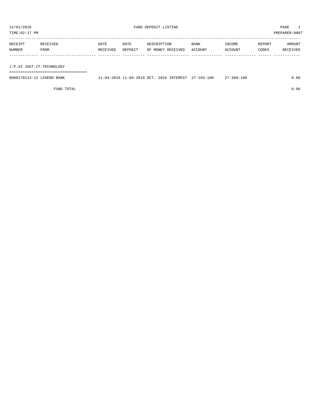TIME:02:17 PM PREPARER:0007 ----------------------------------------------------------------------------------------------------------------------------------- RECEIPT RECEIVED DATE DATE DESCRIPTION BANK INCOME REPORT AMOUNT NUMBER FROM RECEIVED DEPOSIT OF MONEY RECEIVED ACCOUNT ACCOUNT CODES RECEIVED ------------- ------------------------- ---------- ---------- ------------------- -------------- -------------- ------ ------------ J.P.#2 JUST.CT.TECHNOLOGY

===================================

| 0000170113-12 LEGEND BANK |  |  | 11-04-2016 11-04-2016 OCT. 2016 INTEREST 27-103-100 27-360-100 | 0.66 |
|---------------------------|--|--|----------------------------------------------------------------|------|
|                           |  |  |                                                                |      |

FUND TOTAL  $0.66$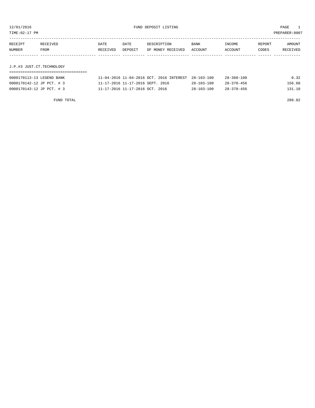TIME:02:17 PM PREPARER:0007

| RECEIPT | RECEIVED                  | DATE     | DATE    | DESCRIPTION       | <b>BANK</b> | INCOME  | REPORT | AMOUNT   |  |  |
|---------|---------------------------|----------|---------|-------------------|-------------|---------|--------|----------|--|--|
| NUMBER  | FROM                      | RECEIVED | DEPOSIT | OF MONEY RECEIVED | ACCOUNT     | ACCOUNT | CODES  | RECEIVED |  |  |
|         |                           |          |         |                   |             |         |        |          |  |  |
|         |                           |          |         |                   |             |         |        |          |  |  |
|         | J.P.#3 JUST.CT.TECHNOLOGY |          |         |                   |             |         |        |          |  |  |

# ===================================

| 0000170113-13 LEGEND BANK | 11-04-2016 11-04-2016 OCT. 2016 INTEREST 28-103-100 |                  | $28 - 360 - 100$ | 0.32   |
|---------------------------|-----------------------------------------------------|------------------|------------------|--------|
| 0000170142-12 JP PCT. # 3 | 11-17-2016 11-17-2016 SEPT. 2016                    | $28 - 103 - 100$ | $28 - 370 - 456$ | 156.60 |
| 0000170143-12 JP PCT. # 3 | 11-17-2016 11-17-2016 OCT, 2016                     | $28 - 103 - 100$ | $28 - 370 - 456$ | 131.10 |

FUND TOTAL 288.02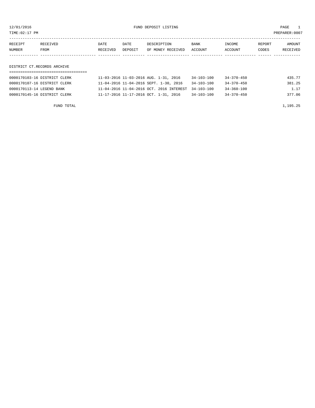12/01/2016 FUND DEPOSIT LISTING PAGE 1

| RECEIPT | <b>RECEIVED</b> | DATE     | DATE    | DESCRIPTION       | <b>BANK</b> | INCOME  | REPORT | AMOUNT          |
|---------|-----------------|----------|---------|-------------------|-------------|---------|--------|-----------------|
| NUMBER  | FROM            | RECEIVED | DEPOSIT | OF MONEY RECEIVED | ACCOUNT     | ACCOUNT | CODES  | <b>RECEIVED</b> |
|         |                 |          |         |                   |             |         |        |                 |

DISTRICT CT.RECORDS ARCHIVE

| 0000170103-16 DISTRICT CLERK | 11-03-2016 11-03-2016 AUG. 1-31, 2016               | 34-103-100       | 34-370-450       | 435.77 |
|------------------------------|-----------------------------------------------------|------------------|------------------|--------|
| 0000170107-16 DISTRICT CLERK | 11-04-2016 11-04-2016 SEPT. 1-30, 2016              | $34 - 103 - 100$ | 34-370-450       | 381.25 |
| 0000170113-14 LEGEND BANK    | 11-04-2016 11-04-2016 OCT. 2016 INTEREST 34-103-100 |                  | $34 - 360 - 100$ | 1.17   |
| 0000170145-16 DISTRICT CLERK | 11-17-2016 11-17-2016 OCT. 1-31, 2016               | $34 - 103 - 100$ | $34 - 370 - 450$ | 377.06 |

FUND TOTAL  $1,195.25$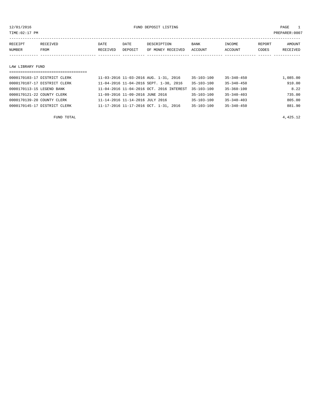12/01/2016 FUND DEPOSIT LISTING PAGE 1

| RECEIPT | RECEIVED    | DATE     | DATE    | DESCRIPTION       | BANK    | INCOME  | REPORT | <b>AMOUNT</b>   |
|---------|-------------|----------|---------|-------------------|---------|---------|--------|-----------------|
| NUMBER  | <b>FROM</b> | RECEIVED | DEPOSIT | OF MONEY RECEIVED | ACCOUNT | ACCOUNT | CODES  | <b>RECEIVED</b> |
|         |             |          |         |                   |         |         |        |                 |
|         |             |          |         |                   |         |         |        |                 |

#### LAW LIBRARY FUND

| =================================== |                                          |                  |                  |          |
|-------------------------------------|------------------------------------------|------------------|------------------|----------|
| 0000170103-17 DISTRICT CLERK        | 11-03-2016 11-03-2016 AUG. 1-31, 2016    | 35-103-100       | $35 - 340 - 450$ | 1,085.00 |
| 0000170107-17 DISTRICT CLERK        | 11-04-2016 11-04-2016 SEPT. 1-30, 2016   | $35 - 103 - 100$ | $35 - 340 - 450$ | 910.00   |
| 0000170113-15 LEGEND BANK           | 11-04-2016 11-04-2016 OCT. 2016 INTEREST | $35 - 103 - 100$ | $35 - 360 - 100$ | 8.22     |
| 0000170121-22 COUNTY CLERK          | 11-09-2016 11-09-2016 JUNE 2016          | $35 - 103 - 100$ | $35 - 340 - 403$ | 735.00   |
| 0000170139-20 COUNTY CLERK          | 11-14-2016 11-14-2016 JULY 2016          | $35 - 103 - 100$ | $35 - 340 - 403$ | 805.00   |
| 0000170145-17 DISTRICT CLERK        | 11-17-2016 11-17-2016 OCT. 1-31, 2016    | $35 - 103 - 100$ | $35 - 340 - 450$ | 881.90   |
|                                     |                                          |                  |                  |          |

FUND TOTAL  $4,425.12$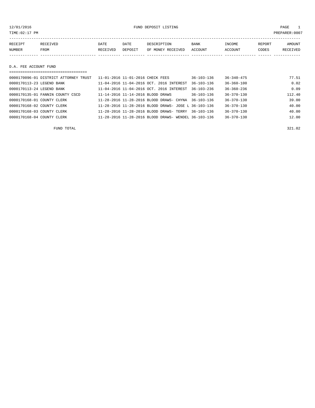12/01/2016 FUND DEPOSIT LISTING PAGE 1

| RECEIPT | RECEIVED | DATE     | DATE    | DESCRIPTION       | <b>BANK</b> | INCOME  | <b>REPORT</b> | AMOUNT   |
|---------|----------|----------|---------|-------------------|-------------|---------|---------------|----------|
| NUMBER  | FROM     | RECEIVED | DEPOSIT | OF MONEY RECEIVED | ACCOUNT     | ACCOUNT | CODES         | RECEIVED |
|         |          |          |         |                   |             |         |               |          |

D.A. FEE ACCOUNT FUND

| $36 - 340 - 475$<br>0000170096-01 DISTRICT ATTORNEY TRUST<br>$36 - 103 - 136$<br>11-01-2016 11-01-2016 CHECK FEES |        |
|-------------------------------------------------------------------------------------------------------------------|--------|
|                                                                                                                   | 77.51  |
| $36 - 360 - 100$<br>0000170113-23 LEGEND BANK<br>11-04-2016 11-04-2016 OCT. 2016 INTEREST<br>$36 - 103 - 136$     | 0.02   |
| $36 - 360 - 236$<br>11-04-2016 11-04-2016 OCT. 2016 INTEREST<br>0000170113-24 LEGEND BANK<br>$36 - 103 - 236$     | 0.09   |
| $36 - 370 - 130$<br>$36 - 103 - 136$<br>0000170135-01 FANNIN COUNTY CSCD<br>11-14-2016 11-14-2016 BLOOD DRAWS     | 112.40 |
| $36 - 370 - 130$<br>0000170168-01 COUNTY CLERK<br>11-28-2016 11-28-2016 BLOOD DRAWS- CHYNA<br>$36 - 103 - 136$    | 39.00  |
| $36 - 370 - 130$<br>11-28-2016 11-28-2016 BLOOD DRAWS- JOSE L 36-103-136<br>0000170168-02 COUNTY CLERK            | 40.00  |
| $36 - 370 - 130$<br>0000170168-03 COUNTY CLERK<br>11-28-2016 11-28-2016 BLOOD DRAWS- TERRY 36-103-136             | 40.00  |
| $36 - 370 - 130$<br>0000170168-04 COUNTY CLERK<br>11-28-2016 11-28-2016 BLOOD DRAWS- WENDEL 36-103-136            | 12.00  |

FUND TOTAL 321.02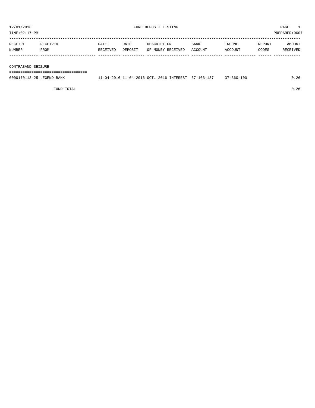| 12/01/2016<br>TIME:02:17 PM |                  |                  |                 | FUND DEPOSIT LISTING             |                 |                   |                 | PAGE<br>PREPARER: 0007 |
|-----------------------------|------------------|------------------|-----------------|----------------------------------|-----------------|-------------------|-----------------|------------------------|
| RECEIPT<br>NUMBER           | RECEIVED<br>FROM | DATE<br>RECEIVED | DATE<br>DEPOSIT | DESCRIPTION<br>OF MONEY RECEIVED | BANK<br>ACCOUNT | INCOME<br>ACCOUNT | REPORT<br>CODES | AMOUNT<br>RECEIVED     |
| CONTRABAND SEIZURE          |                  |                  |                 |                                  |                 |                   |                 |                        |

===================================

| 0000170113-25 LEGEND BANK | . – 04 – 2016 | سم 2016 11-04-2016 OCT. | 2016 INTEREST | $37 - 103 - 137$ | /-360-100 |  |
|---------------------------|---------------|-------------------------|---------------|------------------|-----------|--|
|                           |               |                         |               |                  |           |  |

FUND TOTAL 0.26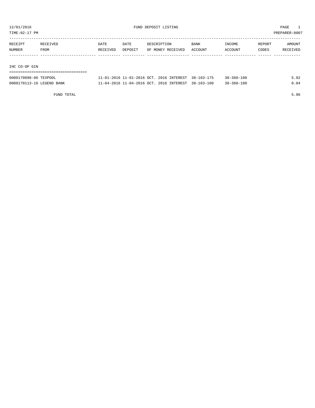TIME:02:17 PM PREPARER:0007

| RECEIPT | RECEIVED | DATE     | DATE    | DESCRIPTION       | <b>BANK</b> | INCOME  | REPORT | AMOUNT   |
|---------|----------|----------|---------|-------------------|-------------|---------|--------|----------|
| NUMBER  | FROM     | RECEIVED | DEPOSIT | OF MONEY RECEIVED | ACCOUNT     | ACCOUNT | CODES  | RECEIVED |
|         |          |          |         |                   |             |         |        |          |
|         |          |          |         |                   |             |         |        |          |

IHC CO-OP GIN

## ===================================

| 0000170098-06 TEXPOOL     | $11 - 01 - 2016$ $11 - 01 - 2016$ OCT, $2016$ INTEREST, $38 - 103 - 175$ |  | $38 - 360 - 100$ | 5.92 |
|---------------------------|--------------------------------------------------------------------------|--|------------------|------|
| 0000170113-16 LEGEND BANK | 11-04-2016 11-04-2016 OCT, 2016 INTEREST, 38-103-100                     |  | 38-360-100       | 0.04 |

FUND TOTAL 5.96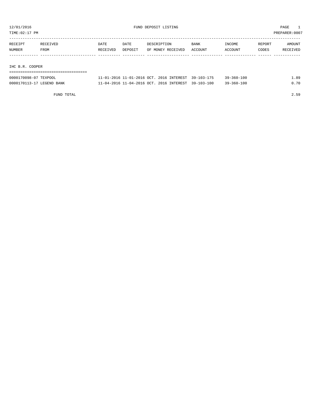TIME:02:17 PM PREPARER:0007

| RECEIPT         | RECEIVED | DATE     | DATE    | DESCRIPTION       | <b>BANK</b> | INCOME  | REPORT | AMOUNT   |
|-----------------|----------|----------|---------|-------------------|-------------|---------|--------|----------|
| NUMBER          | FROM     | RECEIVED | DEPOSIT | OF MONEY RECEIVED | ACCOUNT     | ACCOUNT | CODES  | RECEIVED |
|                 |          |          |         |                   |             |         |        |          |
|                 |          |          |         |                   |             |         |        |          |
| IHC B.R. COOPER |          |          |         |                   |             |         |        |          |
|                 |          |          |         |                   |             |         |        |          |

| 0000170098-07 TEXPOOL     | 1-01-2016 11-01-2016 OCT. 2016 INTEREST 39-103-175  | $39 - 360 - 100$ | . . 89 |
|---------------------------|-----------------------------------------------------|------------------|--------|
| 0000170113-17 LEGEND BANK | 1-04-2016 11-04-2016 OCT, 2016 INTEREST, 39-103-100 | $39 - 360 - 100$ | 70     |

FUND TOTAL 2.59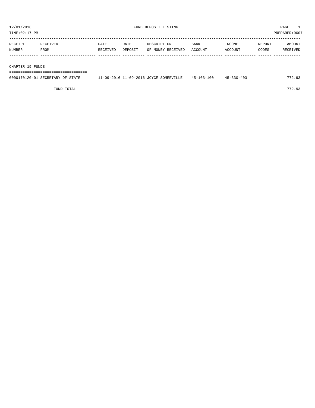| RECEIPT | RECEIVED | DATE     | DATE    | DESCRIPTION       | BANK    | INCOME  | REPORT | <b>AMOUNT</b>   |
|---------|----------|----------|---------|-------------------|---------|---------|--------|-----------------|
| NUMBER  | FROM     | RECEIVED | DEPOSIT | OF MONEY RECEIVED | ACCOUNT | ACCOUNT | CODES  | <b>RECEIVED</b> |
|         |          |          |         |                   |         |         |        |                 |
|         |          |          |         |                   |         |         |        |                 |

#### CHAPTER 19 FUNDS

===================================

| 0000170120-01 SECRETARY OF STATE | 11-09-2016 11-09-2016 JOYCE SOMERVILLE | 45-103-100 | $45 - 330 - 403$ | 772.93 |
|----------------------------------|----------------------------------------|------------|------------------|--------|
|                                  |                                        |            |                  |        |

FUND TOTAL 772.93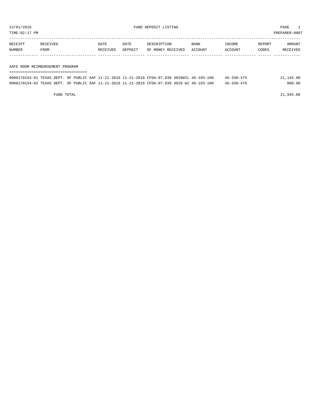TIME:02:17 PM PREPARER:0007

| RECEIPT       | RECEIVED | DATE     | DATE    | DESCRIPTION       | <b>BANK</b>    | <b>INCOME</b> | REPORT | <b>AMOUNT</b>   |
|---------------|----------|----------|---------|-------------------|----------------|---------------|--------|-----------------|
| <b>NUMBER</b> | FROM     | RECEIVED | DEPOSIT | OF MONEY RECEIVED | <b>ACCOUNT</b> | ACCOUNT       | CODES  | <b>RECEIVED</b> |
|               |          |          |         |                   |                |               |        |                 |

#### SAFE ROOM REIMBURSEMENT PROGRAM

| =================================                                                            |  |  |  |  |  |  |  |  |  |                  |           |
|----------------------------------------------------------------------------------------------|--|--|--|--|--|--|--|--|--|------------------|-----------|
| 0000170154-01 TEXAS DEPT. OF PUBLIC SAF 11-21-2016 11-21-2016 CFDA:97.039 4029WIL 46-103-100 |  |  |  |  |  |  |  |  |  | $46 - 330 - 475$ | 21,145.00 |
| 0000170154-02 TEXAS DEPT. OF PUBLIC SAF 11-21-2016 11-21-2016 CFDA:97.039 4029 WI 46-103-100 |  |  |  |  |  |  |  |  |  | 46-330-476       | 800.00    |

FUND TOTAL 21,945.00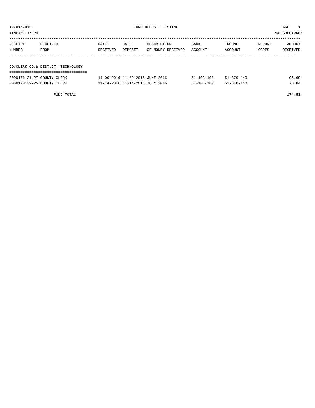| TIME:02:17 PM<br>PREPARER: 0007       |                                   |                  |                 |                                  |                 |                   |                 |                    |  |  |  |
|---------------------------------------|-----------------------------------|------------------|-----------------|----------------------------------|-----------------|-------------------|-----------------|--------------------|--|--|--|
| RECEIVED<br>RECEIPT<br>NUMBER<br>FROM |                                   | DATE<br>RECEIVED | DATE<br>DEPOSIT | DESCRIPTION<br>OF MONEY RECEIVED | BANK<br>ACCOUNT | INCOME<br>ACCOUNT | REPORT<br>CODES | AMOUNT<br>RECEIVED |  |  |  |
|                                       | CO.CLERK CO.& DIST.CT. TECHNOLOGY |                  |                 |                                  |                 |                   |                 |                    |  |  |  |
|                                       |                                   |                  |                 |                                  |                 |                   |                 |                    |  |  |  |

| 0000170121-27 COUNTY CLERK | 11-09-2016 11-09-2016 JUNE 2016 | $51 - 103 - 100$ | $51 - 370 - 440$ | 95.69 |
|----------------------------|---------------------------------|------------------|------------------|-------|
| 0000170139-25 COUNTY CLERK | 11-14-2016 11-14-2016 JULY 2016 | $51 - 103 - 100$ | $51 - 370 - 440$ | 78.84 |

FUND TOTAL 174.53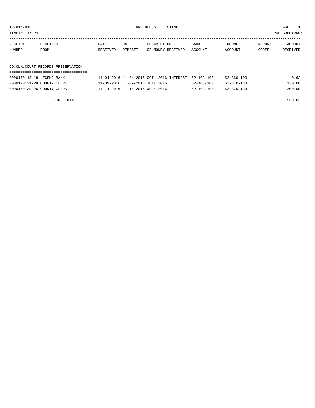12/01/2016 FUND DEPOSIT LISTING PAGE 1

| RECEIPT | RECEIVED | <b>DATE</b> | DATE    | DESCRIPTION               | BANK | INCOME         | REPORT | AMOUNT          |
|---------|----------|-------------|---------|---------------------------|------|----------------|--------|-----------------|
| NUMBER  | FROM     | RECEIVED    | DEPOSIT | OF MONEY RECEIVED ACCOUNT |      | <b>ACCOUNT</b> | CODES  | <b>RECEIVED</b> |
|         |          |             |         |                           |      |                |        |                 |

## CO.CLK.COURT RECORDS PRESERVATION

| 0000170113-18 LEGEND BANK  | 11-04-2016 11-04-2016 OCT, 2016 INTEREST 52-103-100 |                  | $52 - 360 - 100$ | 0.62   |
|----------------------------|-----------------------------------------------------|------------------|------------------|--------|
| 0000170121-28 COUNTY CLERK | 11-09-2016 11-09-2016 JUNE 2016                     | $52 - 103 - 100$ | $52 - 370 - 133$ | 330.00 |
| 0000170139-26 COUNTY CLERK | 11-14-2016 11-14-2016 JULY 2016                     | $52 - 103 - 100$ | $52 - 370 - 133$ | 200.00 |

FUND TOTAL 530.62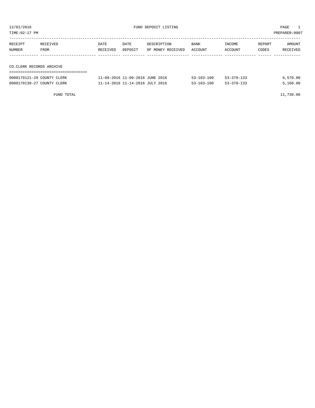| TIME:02:17 PM<br>PREPARER: 0007 |                                 |                             |         |                   |                            |         |       |          |  |  |  |
|---------------------------------|---------------------------------|-----------------------------|---------|-------------------|----------------------------|---------|-------|----------|--|--|--|
| RECEIPT                         | RECEIVED                        | DESCRIPTION<br>BANK<br>DATE |         |                   | AMOUNT<br>INCOME<br>REPORT |         |       |          |  |  |  |
| NUMBER                          | FROM                            | RECEIVED                    | DEPOSIT | OF MONEY RECEIVED | ACCOUNT                    | ACCOUNT | CODES | RECEIVED |  |  |  |
|                                 |                                 |                             |         |                   |                            |         |       |          |  |  |  |
| CO.CLERK RECORDS ARCHIVE        | ------------------------------- |                             |         |                   |                            |         |       |          |  |  |  |

| 0000170121-29 COUNTY CLERK | 11-09-2016 11-09-2016 JUNE 2016 | $53 - 103 - 100$ | $53 - 370 - 133$ | 6.570.00 |
|----------------------------|---------------------------------|------------------|------------------|----------|
| 0000170139-27 COUNTY CLERK | 11-14-2016 11-14-2016 JULY 2016 | $53 - 103 - 100$ | $53 - 370 - 133$ | 5.160.00 |

FUND TOTAL 11,730.00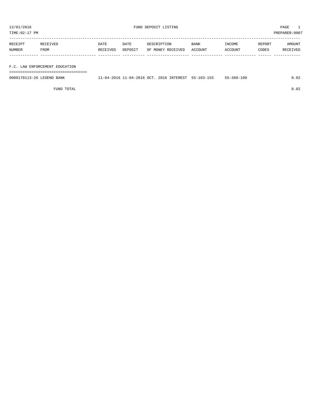TIME:02:17 PM PREPARER:0007

| RECEIPT | RECEIVED | <b>DATE</b> | <b>DATE</b> | DESCRIPTION       | <b>BANK</b> | INCOME  | REPORT | AMOUNT   |
|---------|----------|-------------|-------------|-------------------|-------------|---------|--------|----------|
| NUMBER  | FROM     | RECEIVED    | DEPOSIT     | OF MONEY RECEIVED | ACCOUNT     | ACCOUNT | CODES  | RECEIVED |
|         |          |             |             |                   |             |         |        |          |
|         |          |             |             |                   |             |         |        |          |

F.C. LAW ENFORCEMENT EDUCATION

===================================

| 0000170113-26 LEGEND BANK | 11-04-2016 11-04-2016 OCT. 2016 INTEREST 55-103-155 |  | $55 - 360 - 100$ | 0.02 |
|---------------------------|-----------------------------------------------------|--|------------------|------|
|                           |                                                     |  |                  |      |

FUND TOTAL 0.02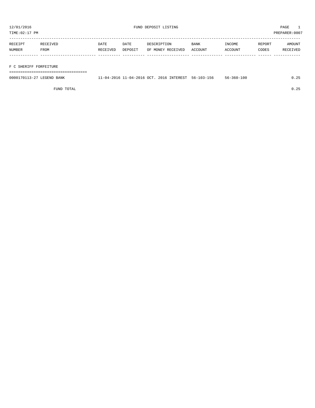TIME:02:17 PM PREPARER:0007

| RECEIPT       | RECEIVED | DATE     | DATE    | DESCRIPTION       | BANK    | INCOME  | REPORT | AMOUNT   |
|---------------|----------|----------|---------|-------------------|---------|---------|--------|----------|
| <b>NUMBER</b> | FROM     | RECEIVED | DEPOSIT | OF MONEY RECEIVED | ACCOUNT | ACCOUNT | CODES  | RECEIVED |
|               |          |          |         |                   |         |         |        |          |

#### F C SHERIFF FORFEITURE

===================================

| 0000170113-27 LEGEND BANK | 11-04-2016 11-04-2016 OCT, 2016 INTEREST 56-103-156 |  | . | $56 - 360 - 100$ | $\sim$ $\sim$ |
|---------------------------|-----------------------------------------------------|--|---|------------------|---------------|
|                           |                                                     |  |   |                  |               |

FUND TOTAL 0.25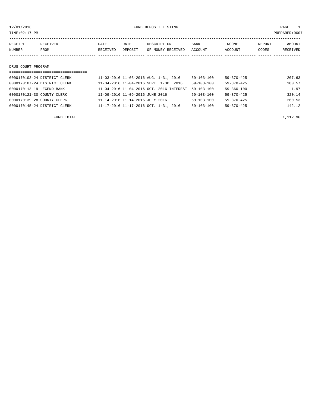12/01/2016 FUND DEPOSIT LISTING PAGE 1

| RECEIPT            | RECEIVED | <b>DATE</b> | DATE    | DESCRIPTION       | BANK    | INCOME  | REPORT | AMOUNT   |
|--------------------|----------|-------------|---------|-------------------|---------|---------|--------|----------|
| NUMBER             | FROM     | RECEIVED    | DEPOSIT | OF MONEY RECEIVED | ACCOUNT | ACCOUNT | CODES  | RECEIVED |
|                    |          |             |         |                   |         |         |        |          |
|                    |          |             |         |                   |         |         |        |          |
| DRUG COURT PROGRAM |          |             |         |                   |         |         |        |          |
|                    |          |             |         |                   |         |         |        |          |

# ===================================

| 0000170103-24 DISTRICT CLERK | 11-03-2016 11-03-2016 AUG. 1-31, 2016    | 59-103-100       | 59-370-425       | 207.63 |
|------------------------------|------------------------------------------|------------------|------------------|--------|
| 0000170107-24 DISTRICT CLERK | 11-04-2016 11-04-2016 SEPT. 1-30, 2016   | $59 - 103 - 100$ | $59 - 370 - 425$ | 180.57 |
| 0000170113-19 LEGEND BANK    | 11-04-2016 11-04-2016 OCT. 2016 INTEREST | $59 - 103 - 100$ | 59-360-100       | 1.97   |
| 0000170121-30 COUNTY CLERK   | 11-09-2016 11-09-2016 JUNE 2016          | $59 - 103 - 100$ | $59 - 370 - 425$ | 320.14 |
| 0000170139-28 COUNTY CLERK   | 11-14-2016 11-14-2016 JULY 2016          | $59 - 103 - 100$ | $59 - 370 - 425$ | 260.53 |
| 0000170145-24 DISTRICT CLERK | 11-17-2016 11-17-2016 OCT. 1-31, 2016    | 59-103-100       | $59 - 370 - 425$ | 142.12 |
|                              |                                          |                  |                  |        |

FUND TOTAL  $1,112.96$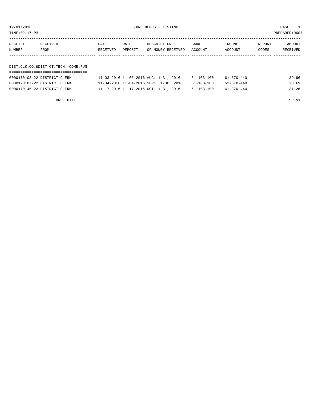12/01/2016 FUND DEPOSIT LISTING PAGE 1

| RECEIPT | <b>RECEIVED</b> | DATE     | DATE    | DESCRIPTION       | <b>BANK</b> | INCOME  | REPORT | AMOUNT          |
|---------|-----------------|----------|---------|-------------------|-------------|---------|--------|-----------------|
| NUMBER  | FROM            | RECEIVED | DEPOSIT | OF MONEY RECEIVED | ACCOUNT     | ACCOUNT | CODES  | <b>RECEIVED</b> |
|         |                 |          |         |                   |             |         |        |                 |

# DIST.CLK.CO.&DIST.CT.TECH.-COMB.FUN

| 0000170103-22 DISTRICT CLERK | 11-03-2016 11-03-2016 AUG. 1-31, 2016  | 61-103-100 | 61-370-440 | 39.96 |
|------------------------------|----------------------------------------|------------|------------|-------|
| 0000170107-22 DISTRICT CLERK | 11-04-2016 11-04-2016 SEPT. 1-30, 2016 | 61-103-100 | 61-370-440 | 28.69 |
| 0000170145-22 DISTRICT CLERK | 11-17-2016 11-17-2016 OCT. 1-31, 2016  | 61-103-100 | 61-370-440 | 31.26 |

FUND TOTAL 99.91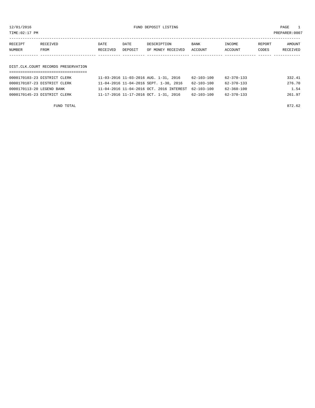12/01/2016 FUND DEPOSIT LISTING PAGE 1

| RECEIPT | <b>RECEIVED</b> | DATE     | DATE    | DESCRIPTION       | <b>BANK</b> | INCOME         | REPORT | AMOUNT          |
|---------|-----------------|----------|---------|-------------------|-------------|----------------|--------|-----------------|
| NUMBER  | FROM            | RECEIVED | DEPOSIT | OF MONEY RECEIVED | ACCOUNT     | <b>ACCOUNT</b> | CODES  | <b>RECEIVED</b> |
|         |                 |          |         |                   |             |                |        |                 |

# DIST.CLK.COURT RECORDS PRESERVATION

| 0000170103-23 DISTRICT CLERK | 11-03-2016 11-03-2016 AUG. 1-31, 2016               | 62-103-100       | 62-370-133       | 332.41 |
|------------------------------|-----------------------------------------------------|------------------|------------------|--------|
| 0000170107-23 DISTRICT CLERK | 11-04-2016 11-04-2016 SEPT. 1-30, 2016              | 62-103-100       | 62-370-133       | 276.70 |
| 0000170113-20 LEGEND BANK    | 11-04-2016 11-04-2016 OCT. 2016 INTEREST 62-103-100 |                  | 62-360-100       | 1.54   |
| 0000170145-23 DISTRICT CLERK | 11-17-2016 11-17-2016 OCT. 1-31, 2016               | $62 - 103 - 100$ | $62 - 370 - 133$ | 261.97 |

FUND TOTAL 872.62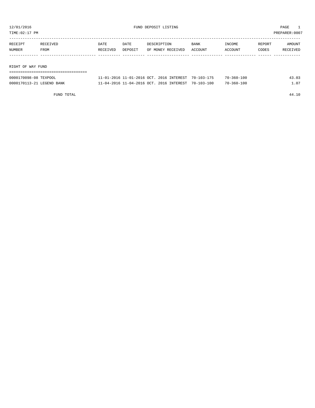TIME:02:17 PM PREPARER:0007

| RECEIPT           | RECEIVED | DATE     | DATE    | DESCRIPTION       | BANK    | INCOME  | REPORT | AMOUNT   |  |  |
|-------------------|----------|----------|---------|-------------------|---------|---------|--------|----------|--|--|
| <b>NUMBER</b>     | FROM     | RECEIVED | DEPOSIT | OF MONEY RECEIVED | ACCOUNT | ACCOUNT | CODES  | RECEIVED |  |  |
|                   |          |          |         |                   |         |         |        |          |  |  |
|                   |          |          |         |                   |         |         |        |          |  |  |
| RIGHT OF WAY FUND |          |          |         |                   |         |         |        |          |  |  |
|                   |          |          |         |                   |         |         |        |          |  |  |

| 0000170098-08 TEXPOOL     | 11-01-2016 11-01-2016 OCT, 2016 INTEREST 70-103-175 |  | $70 - 360 - 100$ | 43.03      |
|---------------------------|-----------------------------------------------------|--|------------------|------------|
| 0000170113-21 LEGEND BANK | 11-04-2016 11-04-2016 OCT, 2016 INTEREST 70-103-100 |  | $70 - 360 - 100$ | $\pm 0.07$ |

FUND TOTAL 44.10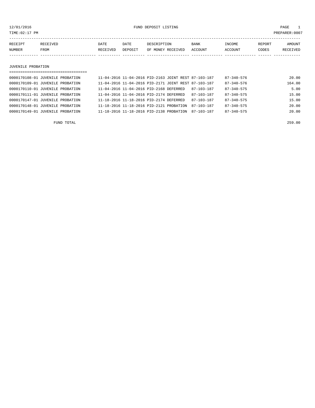12/01/2016 FUND DEPOSIT LISTING PAGE 1

| RECEIPT | <b>RECEIVED</b> | DATE     | DATE    | DESCRIPTION       | <b>BANK</b> | INCOME  | REPORT | AMOUNT          |
|---------|-----------------|----------|---------|-------------------|-------------|---------|--------|-----------------|
| NUMBER  | <b>FROM</b>     | RECEIVED | DEPOSIT | OF MONEY RECEIVED | ACCOUNT     | ACCOUNT | CODES  | <b>RECEIVED</b> |
|         |                 |          |         |                   |             |         |        |                 |

#### JUVENILE PROBATION

| ===============================  |                                                      |                  |                  |        |
|----------------------------------|------------------------------------------------------|------------------|------------------|--------|
| 0000170108-01 JUVENILE PROBATION | 11-04-2016 11-04-2016 PID-2163 JOINT REST 87-103-187 |                  | $87 - 340 - 576$ | 20.00  |
| 0000170109-01 JUVENILE PROBATION | 11-04-2016 11-04-2016 PID-2171 JOINT REST 87-103-187 |                  | $87 - 340 - 576$ | 164.00 |
| 0000170110-01 JUVENILE PROBATION | 11-04-2016 11-04-2016 PID-2168 DEFERRED              | $87 - 103 - 187$ | $87 - 340 - 575$ | 5.00   |
| 0000170111-01 JUVENILE PROBATION | 11-04-2016 11-04-2016 PID-2174 DEFERRED              | $87 - 103 - 187$ | $87 - 340 - 575$ | 15.00  |
| 0000170147-01 JUVENILE PROBATION | 11-18-2016 11-18-2016 PID-2174 DEFERRED              | $87 - 103 - 187$ | $87 - 340 - 575$ | 15.00  |
| 0000170148-01 JUVENILE PROBATION | 11-18-2016 11-18-2016 PID-2121 PROBATION             | 87-103-187       | $87 - 340 - 575$ | 20.00  |
| 0000170149-01 JUVENILE PROBATION | 11-18-2016 11-18-2016 PID-2138 PROBATION             | 87-103-187       | $87 - 340 - 575$ | 20.00  |
|                                  |                                                      |                  |                  |        |

FUND TOTAL 259.00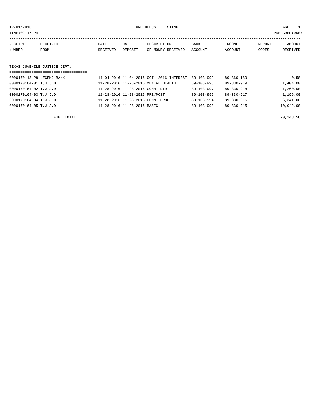12/01/2016 FUND DEPOSIT LISTING PAGE 1

| RECEIPT | RECEIVED | DATE     | DATE    | DESCRIPTION       | <b>BANK</b> | INCOME  | REPORT | AMOUNT          |
|---------|----------|----------|---------|-------------------|-------------|---------|--------|-----------------|
| NUMBER  | FROM     | RECEIVED | DEPOSIT | OF MONEY RECEIVED | ACCOUNT     | ACCOUNT | CODES  | <b>RECEIVED</b> |
|         |          |          |         |                   |             |         |        |                 |

#### TEXAS JUVENILE JUSTICE DEPT.

| ==================================== |                                          |                  |                  |           |
|--------------------------------------|------------------------------------------|------------------|------------------|-----------|
| 0000170113-28 LEGEND BANK            | 11-04-2016 11-04-2016 OCT. 2016 INTEREST | $89 - 103 - 992$ | $89 - 360 - 189$ | 0.58      |
| 0000170164-01 T, J. J. D.            | 11-28-2016 11-28-2016 MENTAL HEALTH      | 89-103-998       | 89-330-919       | 1,404.00  |
| 0000170164-02 T, J. J. D.            | 11-28-2016 11-28-2016 COMM. DIR.         | $89 - 103 - 997$ | $89 - 330 - 918$ | 1,260.00  |
| 0000170164-03 T, J. J. D.            | 11-28-2016 11-28-2016 PRE/POST           | 89-103-996       | 89-330-917       | 1,196.00  |
| 0000170164-04 T.J.J.D.               | 11-28-2016 11-28-2016 COMM. PROG.        | 89-103-994       | 89-330-916       | 6.341.00  |
| 0000170164-05 T.J.J.D.               | 11-28-2016 11-28-2016 BASIC              | $89 - 103 - 993$ | $89 - 330 - 915$ | 10,042.00 |

FUND TOTAL 20,243.58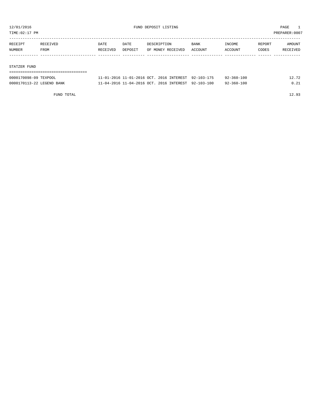TIME:02:17 PM PREPARER:0007

| RECEIPT | RECEIVED | <b>DATE</b> | DATE    | DESCRIPTION       | BANK    | INCOME  | REPORT | AMOUNT   |
|---------|----------|-------------|---------|-------------------|---------|---------|--------|----------|
| NUMBER  | FROM     | RECEIVED    | DEPOSIT | OF MONEY RECEIVED | ACCOUNT | ACCOUNT | CODES  | RECEIVED |
|         |          |             |         |                   |         |         |        |          |
|         |          |             |         |                   |         |         |        |          |

#### STATZER FUND

| ------------------------------------- |                                                     |  |            |       |
|---------------------------------------|-----------------------------------------------------|--|------------|-------|
| 0000170098-09 TEXPOOL                 | 11-01-2016 11-01-2016 OCT. 2016 INTEREST 92-103-175 |  | 92-360-100 | 12.72 |
| 0000170113-22 LEGEND BANK             | 11-04-2016 11-04-2016 OCT. 2016 INTEREST 92-103-100 |  | 92-360-100 | 0.21  |

FUND TOTAL 12.93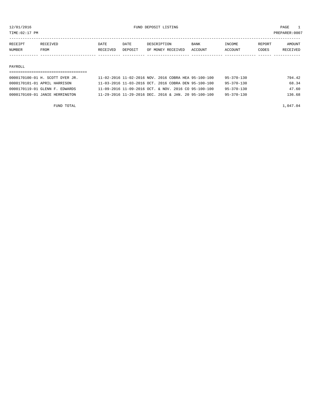TIME:02:17 PM PREPARER:0007

| RECEIPT       | <b>RECEIVED</b> | DATE     | DATE    | DESCRIPTION       | <b>BANK</b> | TNCOME.        | <b>REPORT</b> | <b>AMOUNT</b>   |
|---------------|-----------------|----------|---------|-------------------|-------------|----------------|---------------|-----------------|
| <b>NUMBER</b> | <b>FROM</b>     | RECEIVED | DEPOSIT | OF MONEY RECEIVED | ACCOUNT     | <b>ACCOUNT</b> | CODES         | <b>RECEIVED</b> |
|               |                 |          |         |                   |             |                |               |                 |

#### PAYROLL

## =================================== 0000170100-01 H. SCOTT DYER JR. 11-02-2016 11-02-2016 NOV. 2016 COBRA HEA 95-100-100 95-370-130 794.42 0000170101-01 APRIL HARRISON 11-03-2016 11-03-2016 OCT. 2016 COBRA DEN 95-100-100 95-370-130 68.34 0000170119-01 GLENN F. EDWARDS 11-09-2016 11-09-2016 OCT. & NOV. 2016 CO 95-100-100 95-370-130 47.60 0000170169-01 JANIE HERRINGTON 11-29-2016 11-29-2016 DEC. 2016 & JAN. 20 95-100-100 95-370-130 136.68

FUND TOTAL  $1,047.04$